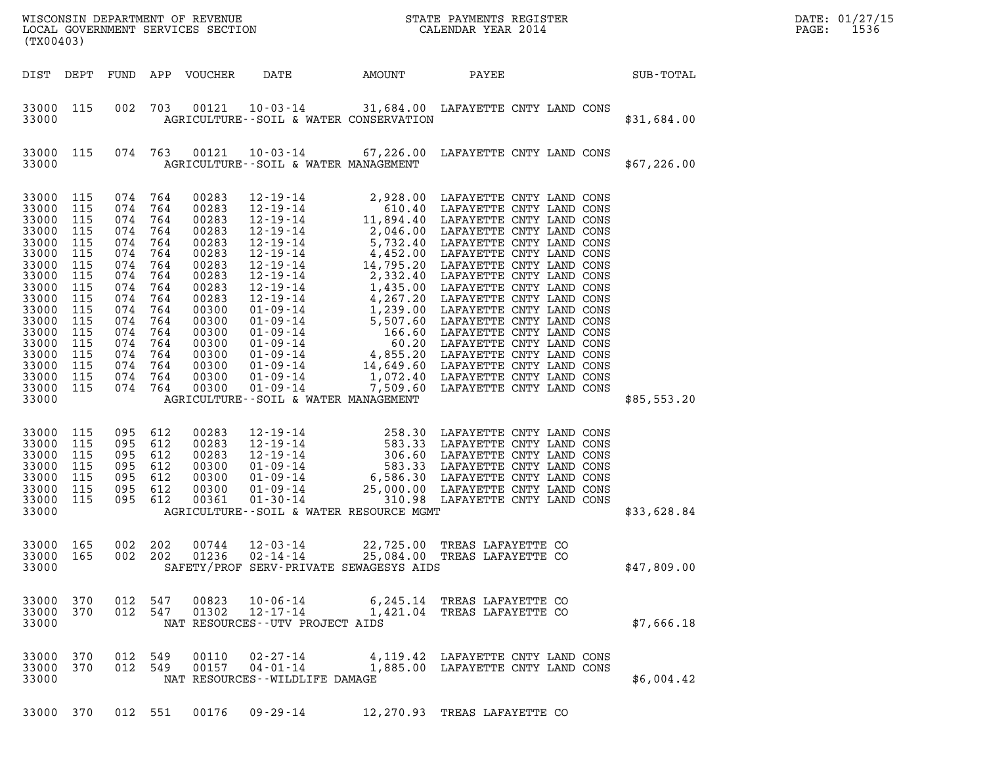| (TX00403)                                                                                                                                                                                                                                       |                                                                                                                                                                                                                                                                                                                                                                                                                                                           | WISCONSIN DEPARTMENT OF REVENUE<br>LOCAL GOVERNMENT SERVICES SECTION<br>LOCAL GOVERNMENT SERVICES SECTION<br>CALENDAR YEAR 2014 | DATE: 01/27/15<br>1536<br>$\mathtt{PAGE:}$ |
|-------------------------------------------------------------------------------------------------------------------------------------------------------------------------------------------------------------------------------------------------|-----------------------------------------------------------------------------------------------------------------------------------------------------------------------------------------------------------------------------------------------------------------------------------------------------------------------------------------------------------------------------------------------------------------------------------------------------------|---------------------------------------------------------------------------------------------------------------------------------|--------------------------------------------|
| DIST DEPT                                                                                                                                                                                                                                       | FUND APP VOUCHER                                                                                                                                                                                                                                                                                                                                                                                                                                          | DATE AMOUNT<br>PAYEE                                                                                                            | SUB-TOTAL                                  |
| 33000 115<br>33000                                                                                                                                                                                                                              | 002 703<br>AGRICULTURE--SOIL & WATER CONSERVATION                                                                                                                                                                                                                                                                                                                                                                                                         | 00121  10-03-14  31,684.00 LAFAYETTE CNTY LAND CONS                                                                             | \$31,684.00                                |
| 33000 115<br>33000                                                                                                                                                                                                                              | AGRICULTURE--SOIL & WATER MANAGEMENT                                                                                                                                                                                                                                                                                                                                                                                                                      | 074 763 00121 10-03-14 67,226.00 LAFAYETTE CNTY LAND CONS                                                                       | \$67,226.00                                |
| 33000 115<br>33000 115<br>33000 115<br>33000 115<br>33000 115<br>33000 115<br>33000 115<br>33000 115<br>33000 115<br>33000 115<br>33000 115<br>33000 115<br>33000 115<br>33000 115<br>33000 115<br>33000 115<br>33000 115<br>33000 115<br>33000 | 074 764<br>00283<br>074<br>764<br>00283<br>074<br>764<br>00283<br>074<br>764<br>00283<br>074<br>764<br>00283<br>074<br>764<br>00283<br>074<br>764<br>00283<br>074<br>764<br>00283<br>764<br>074<br>00283<br>074<br>764<br>00283<br>074<br>764<br>00300<br>074<br>764<br>00300<br>074<br>764<br>00300<br>074<br>764<br>00300<br>074<br>764<br>00300<br>074<br>764<br>00300<br>074 764<br>00300<br>074 764<br>00300<br>AGRICULTURE--SOIL & WATER MANAGEMENT |                                                                                                                                 | \$85,553.20                                |
| 33000 115<br>33000 115<br>33000<br>115<br>33000 115<br>33000 115<br>33000 115<br>33000 115<br>33000                                                                                                                                             | 095<br>612<br>00283<br>095<br>612<br>00283<br>095<br>00283<br>612<br>095<br>612<br>00300<br>095<br>612<br>00300<br>095<br>612<br>00300<br>095 612<br>00361<br>AGRICULTURE--SOIL & WATER RESOURCE MGMT                                                                                                                                                                                                                                                     |                                                                                                                                 | \$33,628.84                                |
| 33000 165<br>33000 165<br>33000                                                                                                                                                                                                                 | 002 202<br>00744<br>$12 - 03 - 14$<br>002 202<br>01236<br>02-14-14<br>SAFETY/PROF SERV-PRIVATE SEWAGESYS AIDS                                                                                                                                                                                                                                                                                                                                             | 22,725.00 TREAS LAFAYETTE CO<br>25,084.00 TREAS LAFAYETTE CO                                                                    | \$47,809.00                                |
| 33000 370<br>33000 370<br>33000                                                                                                                                                                                                                 | 012 547<br>00823<br>10-06-14<br>012 547<br>01302<br>12-17-14<br>NAT RESOURCES--UTV PROJECT AIDS                                                                                                                                                                                                                                                                                                                                                           | 6,245.14 TREAS LAFAYETTE CO<br>1,421.04 TREAS LAFAYETTE CO                                                                      | \$7,666.18                                 |
| 33000 370<br>33000 370<br>33000                                                                                                                                                                                                                 | 012 549<br>00110<br>02-27-14<br>012 549<br>00157<br>04-01-14<br>NAT RESOURCES--WILDLIFE DAMAGE                                                                                                                                                                                                                                                                                                                                                            | 4,119.42 LAFAYETTE CNTY LAND CONS<br>1,885.00 LAFAYETTE CNTY LAND CONS                                                          | \$6,004.42                                 |
| 33000 370                                                                                                                                                                                                                                       | 012 551<br>$00176$ 09-29-14                                                                                                                                                                                                                                                                                                                                                                                                                               | 12,270.93 TREAS LAFAYETTE CO                                                                                                    |                                            |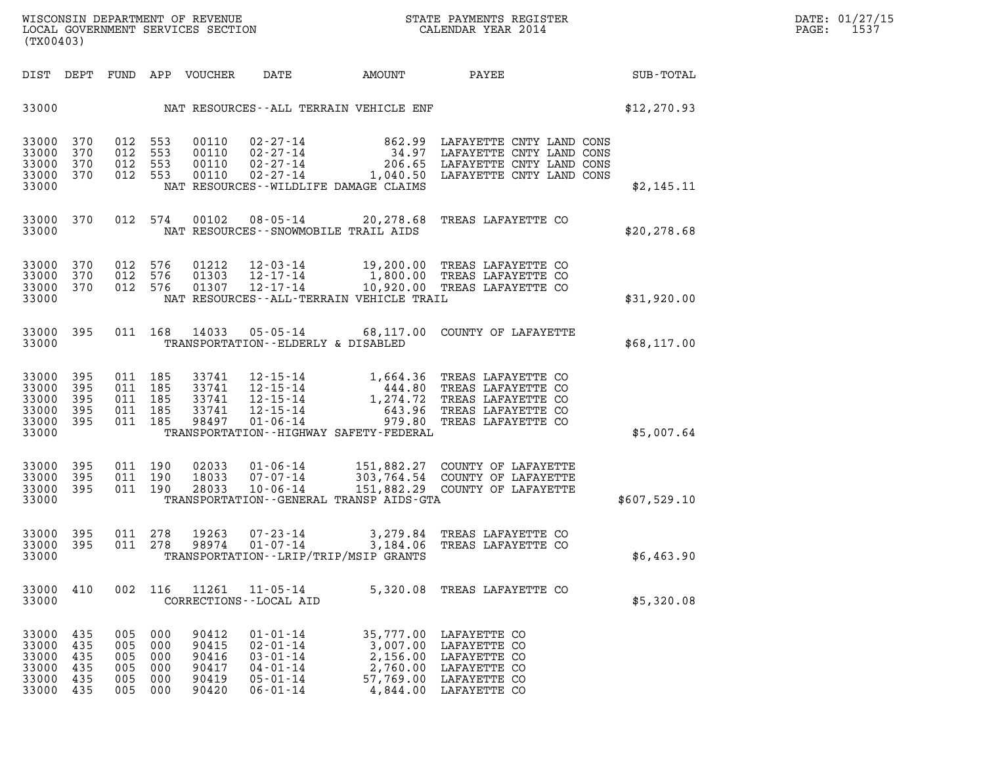| (TX00403)                                          |                                        |                                                |                          |                                                    |                                                                                                          |                                               | WISCONSIN DEPARTMENT OF REVENUE<br>LOCAL GOVERNMENT SERVICES SECTION FOR THE STATE PAYMENTS REGISTER<br>CALENDAR YEAR 2014                                                                                                   |              | DATE: 01/27/15<br>PAGE: 1537 |
|----------------------------------------------------|----------------------------------------|------------------------------------------------|--------------------------|----------------------------------------------------|----------------------------------------------------------------------------------------------------------|-----------------------------------------------|------------------------------------------------------------------------------------------------------------------------------------------------------------------------------------------------------------------------------|--------------|------------------------------|
|                                                    |                                        |                                                |                          |                                                    | DIST DEPT FUND APP VOUCHER DATE                                                                          |                                               | AMOUNT PAYEE SUB-TOTAL                                                                                                                                                                                                       |              |                              |
|                                                    |                                        |                                                |                          |                                                    |                                                                                                          | 33000 NAT RESOURCES--ALL TERRAIN VEHICLE ENF  |                                                                                                                                                                                                                              | \$12, 270.93 |                              |
| 33000 370<br>33000<br>33000<br>33000<br>33000      | 370<br>370<br>370                      | 012 553<br>012 553<br>012 553<br>012 553       |                          |                                                    |                                                                                                          | NAT RESOURCES--WILDLIFE DAMAGE CLAIMS         |                                                                                                                                                                                                                              | \$2,145.11   |                              |
| 33000 370<br>33000                                 |                                        |                                                |                          |                                                    |                                                                                                          | NAT RESOURCES - - SNOWMOBILE TRAIL AIDS       | 012 574 00102 08-05-14 20,278.68 TREAS LAFAYETTE CO                                                                                                                                                                          | \$20, 278.68 |                              |
| 33000<br>33000<br>33000<br>33000                   | 370<br>370<br>370                      | 012 576<br>012 576<br>012 576                  |                          | 01212<br>01303<br>01307                            |                                                                                                          | NAT RESOURCES - - ALL - TERRAIN VEHICLE TRAIL | 12-03-14 19,200.00 TREAS LAFAYETTE CO<br>12-17-14 1,800.00 TREAS LAFAYETTE CO<br>12-17-14 10,920.00 TREAS LAFAYETTE CO                                                                                                       | \$31,920.00  |                              |
| 33000 395<br>33000                                 |                                        |                                                |                          |                                                    | TRANSPORTATION--ELDERLY & DISABLED                                                                       |                                               | 011 168 14033 05-05-14 68,117.00 COUNTY OF LAFAYETTE                                                                                                                                                                         | \$68,117.00  |                              |
| 33000<br>33000<br>33000<br>33000<br>33000<br>33000 | 395<br>395<br>395<br>395<br>395        | 011 185<br>011 185<br>011 185<br>011 185       | 011 185                  |                                                    |                                                                                                          | TRANSPORTATION - - HIGHWAY SAFETY - FEDERAL   | 33741   12-15-14   1,664.36   TREAS LAFAYETTE CO<br>33741   12-15-14   444.80   TREAS LAFAYETTE CO<br>33741   12-15-14   1,274.72   TREAS LAFAYETTE CO<br>33741   12-15-14   643.96   TREAS LAFAYETTE CO<br>98497   01-06-14 | \$5,007.64   |                              |
| 33000<br>33000<br>33000<br>33000                   | - 395<br>395<br>- 395                  | 011 190<br>011 190<br>011 190                  |                          |                                                    |                                                                                                          | TRANSPORTATION--GENERAL TRANSP AIDS-GTA       | 02033  01-06-14  151,882.27  COUNTY OF LAFAYETTE<br>18033  07-07-14  303,764.54  COUNTY OF LAFAYETTE<br>28033  10-06-14  151,882.29  COUNTY OF LAFAYETTE                                                                     | \$607,529.10 |                              |
| 33000<br>33000 395<br>33000                        | 395                                    | 011 278<br>011 278                             |                          | 19263<br>98974                                     | $07 - 23 - 14$<br>$01 - 07 - 14$                                                                         | TRANSPORTATION - - LRIP/TRIP/MSIP GRANTS      | 3,279.84 TREAS LAFAYETTE CO<br>3,184.06 TREAS LAFAYETTE CO                                                                                                                                                                   | \$6,463.90   |                              |
| 33000 410<br>33000                                 |                                        |                                                |                          | 002 116 11261                                      | $11 - 05 - 14$<br>CORRECTIONS - - LOCAL AID                                                              |                                               | 5,320.08 TREAS LAFAYETTE CO                                                                                                                                                                                                  | \$5,320.08   |                              |
| 33000<br>33000<br>33000<br>33000<br>33000<br>33000 | 435<br>435<br>435<br>435<br>435<br>435 | 005 000<br>005<br>005<br>005<br>005<br>005 000 | 000<br>000<br>000<br>000 | 90412<br>90415<br>90416<br>90417<br>90419<br>90420 | $01 - 01 - 14$<br>$02 - 01 - 14$<br>$03 - 01 - 14$<br>$04 - 01 - 14$<br>$05 - 01 - 14$<br>$06 - 01 - 14$ |                                               | 35,777.00 LAFAYETTE CO<br>3,007.00 LAFAYETTE CO<br>2,156.00 LAFAYETTE CO<br>2,760.00 LAFAYETTE CO<br>57,769.00 LAFAYETTE CO<br>4,844.00 LAFAYETTE CO                                                                         |              |                              |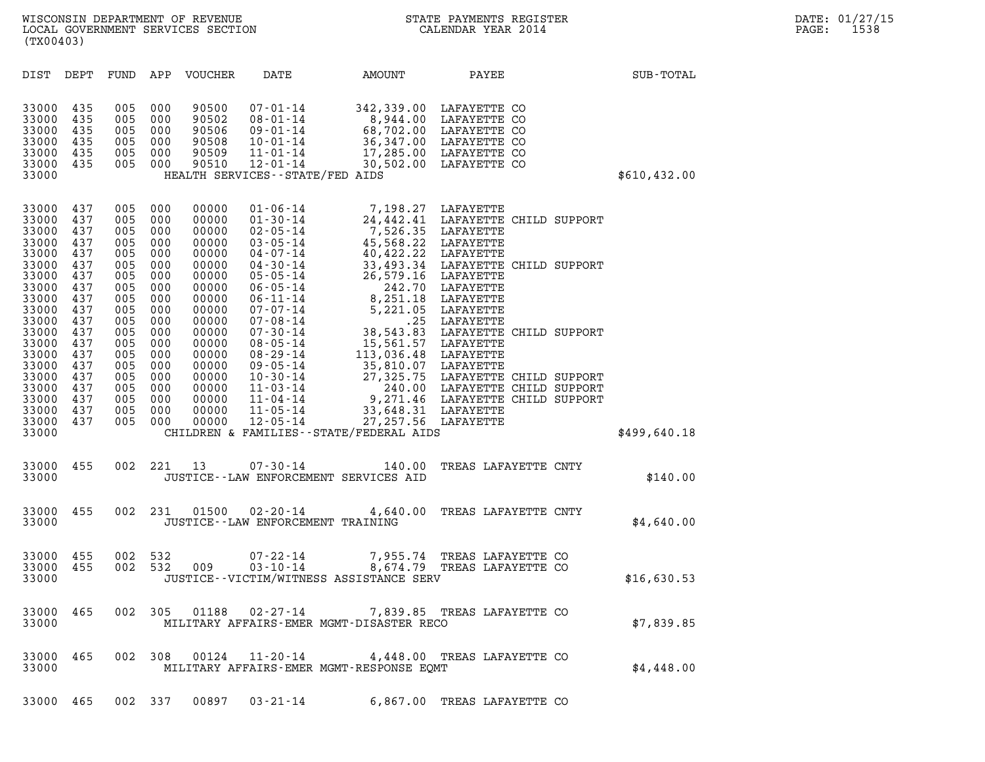| WISCONSIN DEPARTMENT OF REVENUE<br>LOCAL GOVERNMENT SERVICES SECTION<br>(TX00403)                                                                                                |                                                                                                                                          |                                                                                                                                          |                                                                                                                                          |                                                                                                                                                                                  |                                                                                                                                                                                                                                                                                              |                                                                                                                                                                                                                                                                                                                                                                          | STATE PAYMENTS REGISTER<br>CALENDAR YEAR 2014                                                                                                                                                                                                    |              | DATE: 01/27/15<br>PAGE:<br>1538 |
|----------------------------------------------------------------------------------------------------------------------------------------------------------------------------------|------------------------------------------------------------------------------------------------------------------------------------------|------------------------------------------------------------------------------------------------------------------------------------------|------------------------------------------------------------------------------------------------------------------------------------------|----------------------------------------------------------------------------------------------------------------------------------------------------------------------------------|----------------------------------------------------------------------------------------------------------------------------------------------------------------------------------------------------------------------------------------------------------------------------------------------|--------------------------------------------------------------------------------------------------------------------------------------------------------------------------------------------------------------------------------------------------------------------------------------------------------------------------------------------------------------------------|--------------------------------------------------------------------------------------------------------------------------------------------------------------------------------------------------------------------------------------------------|--------------|---------------------------------|
| DIST DEPT                                                                                                                                                                        |                                                                                                                                          | FUND                                                                                                                                     |                                                                                                                                          | APP VOUCHER                                                                                                                                                                      | DATE                                                                                                                                                                                                                                                                                         | AMOUNT                                                                                                                                                                                                                                                                                                                                                                   | PAYEE                                                                                                                                                                                                                                            | SUB-TOTAL    |                                 |
| 33000<br>33000<br>33000<br>33000<br>33000<br>33000<br>33000                                                                                                                      | 435<br>435<br>435<br>435<br>435<br>435                                                                                                   | 005<br>005<br>005<br>005<br>005 000<br>005 000                                                                                           | 000<br>000<br>000<br>000                                                                                                                 | 90500<br>90502<br>90506<br>90508<br>90509<br>90510                                                                                                                               | 07-01-14<br>$08 - 01 - 14$<br>09-01-14<br>10-01-14<br>$11 - 01 - 14$<br>12-01-14<br>HEALTH SERVICES - - STATE/FED AIDS                                                                                                                                                                       | 8,944.00<br>36,347.00<br>30,502.00                                                                                                                                                                                                                                                                                                                                       | 342,339.00 LAFAYETTE CO<br>LAFAYETTE CO<br>68,702.00 LAFAYETTE CO<br>LAFAYETTE CO<br>17,285.00 LAFAYETTE CO<br>LAFAYETTE CO                                                                                                                      | \$610,432.00 |                                 |
| 33000<br>33000<br>33000<br>33000<br>33000<br>33000<br>33000<br>33000<br>33000<br>33000<br>33000<br>33000<br>33000<br>33000<br>33000<br>33000<br>33000<br>33000<br>33000<br>33000 | 437<br>437<br>437<br>437<br>437<br>437<br>437<br>437<br>437<br>437<br>437<br>437<br>437<br>437<br>437<br>437<br>437<br>437<br>437<br>437 | 005<br>005<br>005<br>005<br>005<br>005<br>005<br>005<br>005<br>005<br>005<br>005<br>005<br>005<br>005<br>005<br>005<br>005<br>005<br>005 | 000<br>000<br>000<br>000<br>000<br>000<br>000<br>000<br>000<br>000<br>000<br>000<br>000<br>000<br>000<br>000<br>000<br>000<br>000<br>000 | 00000<br>00000<br>00000<br>00000<br>00000<br>00000<br>00000<br>00000<br>00000<br>00000<br>00000<br>00000<br>00000<br>00000<br>00000<br>00000<br>00000<br>00000<br>00000<br>00000 | $01 - 06 - 14$<br>$01 - 30 - 14$<br>$02 - 05 - 14$<br>$03 - 05 - 14$<br>04-07-14<br>$04 - 30 - 14$<br>$05 - 05 - 14$<br>06-05-14<br>06-11-14<br>07-07-14<br>$07 - 08 - 14$<br>07-30-14<br>08-05-14<br>08-29-14<br>09-05-14<br>10-30-14<br>11-03-14<br>$11 - 04 - 14$<br>11-05-14<br>12-05-14 | 7,198.27 LAFAYETTE<br>7,526.35<br>45,568.22 LAFAYETTE<br>40,422.22<br>33,493.34 LAFAYETTE<br>26,579.16 LAFAYETTE<br>242.70 LAFAYETTE<br>8,251.18 LAFAYETTE<br>5,221.05 LAFAYETTE<br>5,221.05 LAFAYETTE<br>38,543.83 LAFAYETTE<br>15,561.57 LAFAYETTE<br>35,810.07 LAFAYETTE<br>27,325.75 LAFAYETTE<br>240.00 LAFAYETTE<br><br>33,648.31 LAFAYETTE<br>27,257.56 LAFAYETTE | 24,442.41 LAFAYETTE CHILD SUPPORT<br>LAFAYETTE<br>LAFAYETTE<br>33,493.34 LAFAYETTE CHILD SUPPORT<br>38,543.83 LAFAYETTE CHILD SUPPORT<br>27,325.75 LAFAYETTE CHILD SUPPORT<br>240.00 LAFAYETTE CHILD SUPPORT<br>9,271.46 LAFAYETTE CHILD SUPPORT |              |                                 |
| 33000                                                                                                                                                                            |                                                                                                                                          |                                                                                                                                          |                                                                                                                                          |                                                                                                                                                                                  |                                                                                                                                                                                                                                                                                              | CHILDREN & FAMILIES - - STATE/FEDERAL AIDS                                                                                                                                                                                                                                                                                                                               |                                                                                                                                                                                                                                                  | \$499,640.18 |                                 |
| 33000 455<br>33000                                                                                                                                                               |                                                                                                                                          | 002                                                                                                                                      | 221                                                                                                                                      | 13                                                                                                                                                                               | 07-30-14<br>JUSTICE - LAW ENFORCEMENT SERVICES AID                                                                                                                                                                                                                                           | 140.00                                                                                                                                                                                                                                                                                                                                                                   | TREAS LAFAYETTE CNTY                                                                                                                                                                                                                             | \$140.00     |                                 |
| 33000 455<br>33000                                                                                                                                                               |                                                                                                                                          | 002                                                                                                                                      | 231                                                                                                                                      | 01500                                                                                                                                                                            | 02-20-14<br>JUSTICE - - LAW ENFORCEMENT TRAINING                                                                                                                                                                                                                                             | 4,640.00                                                                                                                                                                                                                                                                                                                                                                 | TREAS LAFAYETTE CNTY                                                                                                                                                                                                                             | \$4,640.00   |                                 |
| 33000 455<br>33000 455<br>33000                                                                                                                                                  |                                                                                                                                          | 002 532                                                                                                                                  |                                                                                                                                          | 002 532 009                                                                                                                                                                      | 07-22-14                                                                                                                                                                                                                                                                                     | JUSTICE - - VICTIM/WITNESS ASSISTANCE SERV                                                                                                                                                                                                                                                                                                                               | 7,955.74 TREAS LAFAYETTE CO<br>03-10-14 8,674.79 TREAS LAFAYETTE CO                                                                                                                                                                              | \$16,630.53  |                                 |
| 33000 465<br>33000                                                                                                                                                               |                                                                                                                                          |                                                                                                                                          |                                                                                                                                          |                                                                                                                                                                                  |                                                                                                                                                                                                                                                                                              | MILITARY AFFAIRS-EMER MGMT-DISASTER RECO                                                                                                                                                                                                                                                                                                                                 | 002 305 01188 02-27-14 7,839.85 TREAS LAFAYETTE CO                                                                                                                                                                                               | \$7,839.85   |                                 |
| 33000 465<br>33000                                                                                                                                                               |                                                                                                                                          | 002 308                                                                                                                                  |                                                                                                                                          |                                                                                                                                                                                  |                                                                                                                                                                                                                                                                                              | MILITARY AFFAIRS-EMER MGMT-RESPONSE EQMT                                                                                                                                                                                                                                                                                                                                 | 00124  11-20-14  4,448.00 TREAS LAFAYETTE CO                                                                                                                                                                                                     | \$4,448.00   |                                 |

33000 465 002 337 00897 03-21-14 6,867.00 TREAS LAFAYETTE CO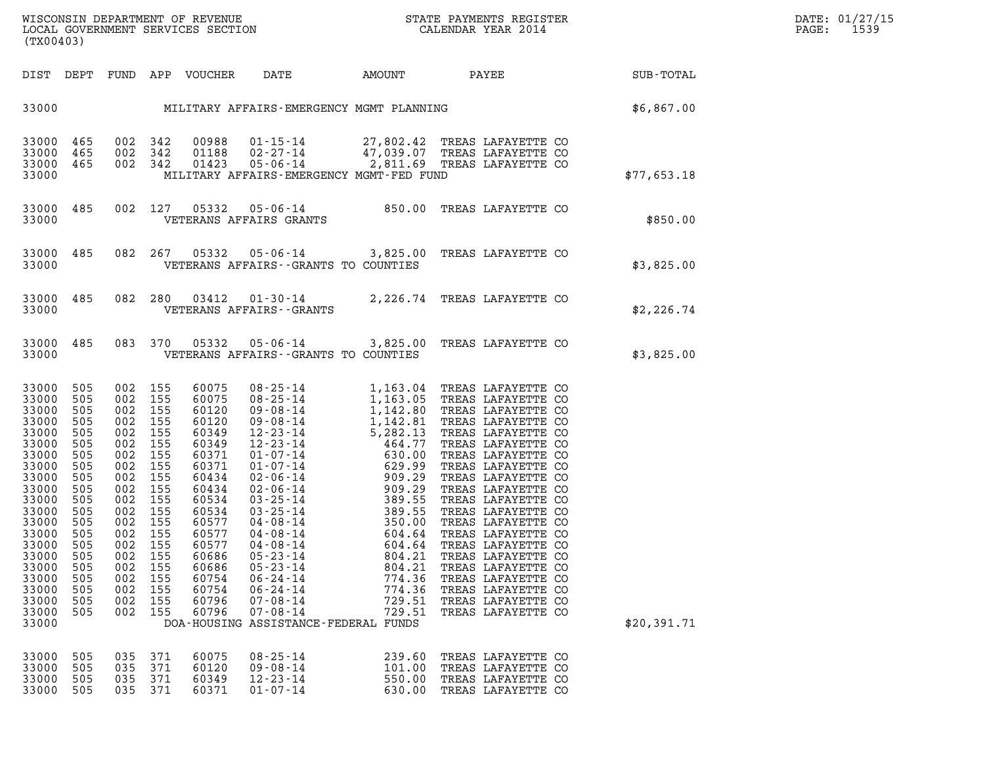| WISCONSIN DEPARTMENT OF REVENUE<br>LOCAL GOVERNMENT SERVICES SECTION CALENDAR YEAR 2014<br>(TX00403)                                                                                                           |                                                                                                                            |                                                                                |                                                                                                                                                                        |                                                                                                                                                                                           |                                                                                                                                                                                                                                                                                                                                                                                                                                                                                                                    |                                                                    |                                                                                                                                                                                                                                                                                                                                                                                                                                                                            |             | DATE: 01/27/15<br>PAGE: 1539 |
|----------------------------------------------------------------------------------------------------------------------------------------------------------------------------------------------------------------|----------------------------------------------------------------------------------------------------------------------------|--------------------------------------------------------------------------------|------------------------------------------------------------------------------------------------------------------------------------------------------------------------|-------------------------------------------------------------------------------------------------------------------------------------------------------------------------------------------|--------------------------------------------------------------------------------------------------------------------------------------------------------------------------------------------------------------------------------------------------------------------------------------------------------------------------------------------------------------------------------------------------------------------------------------------------------------------------------------------------------------------|--------------------------------------------------------------------|----------------------------------------------------------------------------------------------------------------------------------------------------------------------------------------------------------------------------------------------------------------------------------------------------------------------------------------------------------------------------------------------------------------------------------------------------------------------------|-------------|------------------------------|
|                                                                                                                                                                                                                |                                                                                                                            |                                                                                |                                                                                                                                                                        |                                                                                                                                                                                           | DIST DEPT FUND APP VOUCHER DATE            AMOUNT              PAYEE                          SUB-TOTAL                                                                                                                                                                                                                                                                                                                                                                                                            |                                                                    |                                                                                                                                                                                                                                                                                                                                                                                                                                                                            |             |                              |
|                                                                                                                                                                                                                |                                                                                                                            |                                                                                |                                                                                                                                                                        |                                                                                                                                                                                           | 33000 MILITARY AFFAIRS-EMERGENCY MGMT PLANNING SOLUTION \$6,867.00                                                                                                                                                                                                                                                                                                                                                                                                                                                 |                                                                    |                                                                                                                                                                                                                                                                                                                                                                                                                                                                            |             |                              |
| 33000 465<br>33000                                                                                                                                                                                             | 33000 465<br>33000 465                                                                                                     |                                                                                | 002 342<br>002 342                                                                                                                                                     | 002 342 00988<br>01423                                                                                                                                                                    | 00988  01-15-14  27,802.42 TREAS LAFAYETTE CO<br>01188  02-27-14  47,039.07 TREAS LAFAYETTE CO<br>01423  05-06-14  2,811.69 TREAS LAFAYETTE CO<br>MILITARY AFFAIRS-EMERGENCY MGMT-FED FUND                                                                                                                                                                                                                                                                                                                         |                                                                    |                                                                                                                                                                                                                                                                                                                                                                                                                                                                            | \$77,653.18 |                              |
|                                                                                                                                                                                                                | 33000 485                                                                                                                  |                                                                                |                                                                                                                                                                        |                                                                                                                                                                                           | 002 127 05332 05-06-14 850.00 TREAS LAFAYETTE CO<br>33000 VETERANS AFFAIRS GRANTS                                                                                                                                                                                                                                                                                                                                                                                                                                  |                                                                    |                                                                                                                                                                                                                                                                                                                                                                                                                                                                            | \$850.00    |                              |
|                                                                                                                                                                                                                | 33000 485                                                                                                                  |                                                                                |                                                                                                                                                                        |                                                                                                                                                                                           | 082  267  05332  05-06-14  3,825.00 TREAS LAFAYETTE CO<br>33000 VETERANS AFFAIRS--GRANTS TO COUNTIES                                                                                                                                                                                                                                                                                                                                                                                                               |                                                                    |                                                                                                                                                                                                                                                                                                                                                                                                                                                                            | \$3,825.00  |                              |
|                                                                                                                                                                                                                | 33000 485                                                                                                                  |                                                                                |                                                                                                                                                                        |                                                                                                                                                                                           | 082 280 03412 01-30-14 2,226.74 TREAS LAFAYETTE CO<br>33000 VETERANS AFFAIRS - - GRANTS                                                                                                                                                                                                                                                                                                                                                                                                                            |                                                                    |                                                                                                                                                                                                                                                                                                                                                                                                                                                                            | \$2,226.74  |                              |
|                                                                                                                                                                                                                | 33000 485                                                                                                                  |                                                                                |                                                                                                                                                                        |                                                                                                                                                                                           | 083 370 05332 05-06-14 3,825.00 TREAS LAFAYETTE CO<br>33000 VETERANS AFFAIRS--GRANTS TO COUNTIES                                                                                                                                                                                                                                                                                                                                                                                                                   |                                                                    |                                                                                                                                                                                                                                                                                                                                                                                                                                                                            | \$3,825.00  |                              |
| 33000 505<br>33000 505<br>33000<br>33000<br>33000<br>33000<br>33000<br>33000<br>33000<br>33000<br>33000<br>33000<br>33000<br>33000 505<br>33000<br>33000<br>33000<br>33000<br>33000<br>33000<br>33000<br>33000 | 505<br>505<br>505<br>505<br>505<br>505<br>505<br>505<br>505<br>505<br>505<br>505<br>505<br>505<br>505<br>505<br>505<br>505 | 002 155<br>002 155<br>002 155<br>002<br>002<br>002<br>002<br>002<br>002<br>002 | 002 155<br>002 155<br>002 155<br>002 155<br>002 155<br>002 155<br>002 155<br>002 155<br>002 155<br>002 155<br>002 155<br>155<br>155<br>155<br>155<br>155<br>155<br>155 | 60075<br>60075<br>60120<br>60120<br>60349<br>60349<br>60371<br>60371<br>60434<br>60434<br>60534<br>60534<br>60577<br>60577<br>60577<br>60686<br>60686<br>60754<br>60754<br>60796<br>60796 | $\begin{array}{cccc} 08\texttt{-}25\texttt{-}14 & 1,163.04 \\ 08\texttt{-}25\texttt{-}14 & 1,163.05 \\ 09\texttt{-}08\texttt{-}14 & 1,142.80 \\ 1,142.80 \\ 12\texttt{-}23\texttt{-}14 & 1,142.81 \\ 12\texttt{-}23\texttt{-}14 & 5,282.13 \\ 12\texttt{-}23\texttt{-}14 & 464.77 \\ 01\texttt{-}07\texttt{-}14 & 630.00 \\ 01\texttt{-}07\$<br>$04 - 08 - 14$<br>$05 - 23 - 14$<br>$05 - 23 - 14$<br>$06 - 24 - 14$<br>$06 - 24 - 14$<br>$07 - 08 - 14$<br>$07 - 08 - 14$<br>DOA-HOUSING ASSISTANCE-FEDERAL FUNDS | 604.64<br>804.21<br>804.21<br>774.36<br>774.36<br>729.51<br>729.51 | TREAS LAFAYETTE CO<br>TREAS LAFAYETTE CO<br>TREAS LAFAYETTE CO<br>TREAS LAFAYETTE CO<br>TREAS LAFAYETTE CO<br>TREAS LAFAYETTE CO<br>TREAS LAFAYETTE CO<br>TREAS LAFAYETTE CO<br>TREAS LAFAYETTE CO<br>TREAS LAFAYETTE CO<br>TREAS LAFAYETTE CO<br>TREAS LAFAYETTE CO<br>TREAS LAFAYETTE CO<br>TREAS LAFAYETTE CO<br>TREAS LAFAYETTE CO<br>TREAS LAFAYETTE CO<br>TREAS LAFAYETTE CO<br>TREAS LAFAYETTE CO<br>TREAS LAFAYETTE CO<br>TREAS LAFAYETTE CO<br>TREAS LAFAYETTE CO | \$20,391.71 |                              |
| 33000<br>33000<br>33000<br>33000                                                                                                                                                                               | 505<br>505<br>505<br>505                                                                                                   | 035<br>035<br>035<br>035                                                       | 371<br>371<br>371<br>371                                                                                                                                               | 60075<br>60120<br>60349<br>60371                                                                                                                                                          | $08 - 25 - 14$<br>$09 - 08 - 14$<br>$12 - 23 - 14$<br>$01 - 07 - 14$                                                                                                                                                                                                                                                                                                                                                                                                                                               | 239.60<br>101.00<br>550.00<br>630.00                               | TREAS LAFAYETTE CO<br>TREAS LAFAYETTE CO<br>TREAS LAFAYETTE CO<br>TREAS LAFAYETTE CO                                                                                                                                                                                                                                                                                                                                                                                       |             |                              |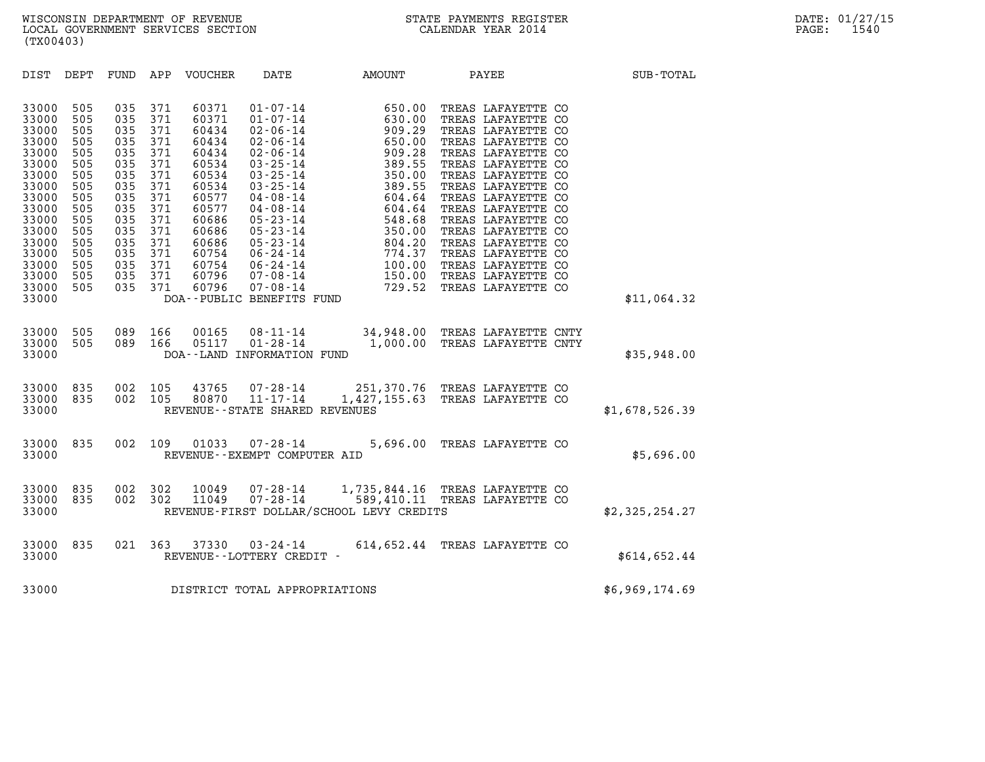| (TX00403)                                                                                                                                                                                                                                                                                                                                                                                                    |                                                                                                                                                                                                                                                                                                                                                                                                                                                                                                                                                                                                                             |                                                                                                                                                                                                                |                                                                                                                                                                                                                                                                                                                                                                                    |                |
|--------------------------------------------------------------------------------------------------------------------------------------------------------------------------------------------------------------------------------------------------------------------------------------------------------------------------------------------------------------------------------------------------------------|-----------------------------------------------------------------------------------------------------------------------------------------------------------------------------------------------------------------------------------------------------------------------------------------------------------------------------------------------------------------------------------------------------------------------------------------------------------------------------------------------------------------------------------------------------------------------------------------------------------------------------|----------------------------------------------------------------------------------------------------------------------------------------------------------------------------------------------------------------|------------------------------------------------------------------------------------------------------------------------------------------------------------------------------------------------------------------------------------------------------------------------------------------------------------------------------------------------------------------------------------|----------------|
| DEPT<br>DIST<br>FUND                                                                                                                                                                                                                                                                                                                                                                                         | APP<br>VOUCHER<br>DATE                                                                                                                                                                                                                                                                                                                                                                                                                                                                                                                                                                                                      | AMOUNT<br>PAYEE                                                                                                                                                                                                |                                                                                                                                                                                                                                                                                                                                                                                    | SUB-TOTAL      |
| 505<br>035<br>33000<br>505<br>035<br>33000<br>33000<br>505<br>035<br>035<br>33000<br>505<br>33000<br>505<br>035<br>33000<br>505<br>035<br>33000<br>505<br>035<br>035<br>33000<br>505<br>33000<br>505<br>035<br>33000<br>035<br>505<br>33000<br>505<br>035<br>33000<br>505<br>035<br>33000<br>505<br>035<br>33000<br>505<br>035<br>505<br>035<br>33000<br>505<br>035<br>33000<br>33000<br>505<br>035<br>33000 | 371<br>60371<br>$01 - 07 - 14$<br>60371<br>$01 - 07 - 14$<br>371<br>371<br>60434<br>$02 - 06 - 14$<br>371<br>60434<br>$02 - 06 - 14$<br>371<br>$02 - 06 - 14$<br>60434<br>$03 - 25 - 14$<br>371<br>60534<br>371<br>$03 - 25 - 14$<br>60534<br>$03 - 25 - 14$<br>371<br>60534<br>$04 - 08 - 14$<br>371<br>60577<br>$04 - 08 - 14$<br>60577<br>371<br>371<br>$05 - 23 - 14$<br>60686<br>$05 - 23 - 14$<br>371<br>60686<br>371<br>$05 - 23 - 14$<br>60686<br>$06 - 24 - 14$<br>371<br>60754<br>371<br>60754<br>$06 - 24 - 14$<br>371<br>60796<br>$07 - 08 - 14$<br>$07 - 08 - 14$<br>371<br>60796<br>DOA--PUBLIC BENEFITS FUND | 650.00<br>630.00<br>909.29<br>9650.00<br>909.28<br>550.00<br>909.28<br>389.55<br>350.00<br>389.55<br>604.64<br>548.68<br>550.00<br>804.20<br>774.37<br>100.00<br>150.00<br>729.52<br>FIN.7<br>729.52<br>729.52 | TREAS LAFAYETTE CO<br>TREAS LAFAYETTE CO<br>TREAS LAFAYETTE CO<br>TREAS LAFAYETTE CO<br>TREAS LAFAYETTE CO<br>TREAS LAFAYETTE CO<br>TREAS LAFAYETTE CO<br>TREAS LAFAYETTE CO<br>TREAS LAFAYETTE CO<br>TREAS LAFAYETTE CO<br>TREAS LAFAYETTE CO<br>TREAS LAFAYETTE CO<br>TREAS LAFAYETTE CO<br>TREAS LAFAYETTE CO<br>TREAS LAFAYETTE CO<br>TREAS LAFAYETTE CO<br>TREAS LAFAYETTE CO | \$11,064.32    |
| 505<br>089<br>33000<br>089<br>33000<br>505<br>33000                                                                                                                                                                                                                                                                                                                                                          | 166<br>00165<br>$08 - 11 - 14$<br>05117<br>166<br>DOA--LAND INFORMATION FUND                                                                                                                                                                                                                                                                                                                                                                                                                                                                                                                                                | 34,948.00 TREAS LAFAYETTE CNTY<br>$01 - 28 - 14$ 1,000.00                                                                                                                                                      | TREAS LAFAYETTE CNTY                                                                                                                                                                                                                                                                                                                                                               | \$35,948.00    |
| 002<br>835<br>33000<br>002<br>33000<br>835<br>33000                                                                                                                                                                                                                                                                                                                                                          | 105<br>43765<br>$07 - 28 - 14$<br>$11 - 17 - 14$<br>105<br>80870<br>REVENUE - - STATE SHARED REVENUES                                                                                                                                                                                                                                                                                                                                                                                                                                                                                                                       | 251,370.76 TREAS LAFAYETTE CO<br>1,427,155.63 TREAS LAFAYETTE CO                                                                                                                                               |                                                                                                                                                                                                                                                                                                                                                                                    | \$1,678,526.39 |
| 33000<br>835<br>002<br>33000                                                                                                                                                                                                                                                                                                                                                                                 | 109<br>01033<br>$07 - 28 - 14$<br>REVENUE--EXEMPT COMPUTER AID                                                                                                                                                                                                                                                                                                                                                                                                                                                                                                                                                              | 5,696.00                                                                                                                                                                                                       | TREAS LAFAYETTE CO                                                                                                                                                                                                                                                                                                                                                                 | \$5,696.00     |
| 835<br>002<br>33000<br>002<br>33000<br>835<br>33000                                                                                                                                                                                                                                                                                                                                                          | 302<br>10049<br>302<br>11049<br>REVENUE-FIRST DOLLAR/SCHOOL LEVY CREDITS                                                                                                                                                                                                                                                                                                                                                                                                                                                                                                                                                    | 07-28-14   1,735,844.16 TREAS LAFAYETTE CO<br>07-28-14   589,410.11 TREAS LAFAYETTE CO                                                                                                                         |                                                                                                                                                                                                                                                                                                                                                                                    | \$2,325,254.27 |
| 33000<br>835<br>021<br>33000                                                                                                                                                                                                                                                                                                                                                                                 | 363<br>37330<br>REVENUE - - LOTTERY CREDIT -                                                                                                                                                                                                                                                                                                                                                                                                                                                                                                                                                                                | 03-24-14 614,652.44 TREAS LAFAYETTE CO                                                                                                                                                                         |                                                                                                                                                                                                                                                                                                                                                                                    | \$614,652.44   |
| 33000                                                                                                                                                                                                                                                                                                                                                                                                        | DISTRICT TOTAL APPROPRIATIONS                                                                                                                                                                                                                                                                                                                                                                                                                                                                                                                                                                                               |                                                                                                                                                                                                                |                                                                                                                                                                                                                                                                                                                                                                                    | \$6,969,174.69 |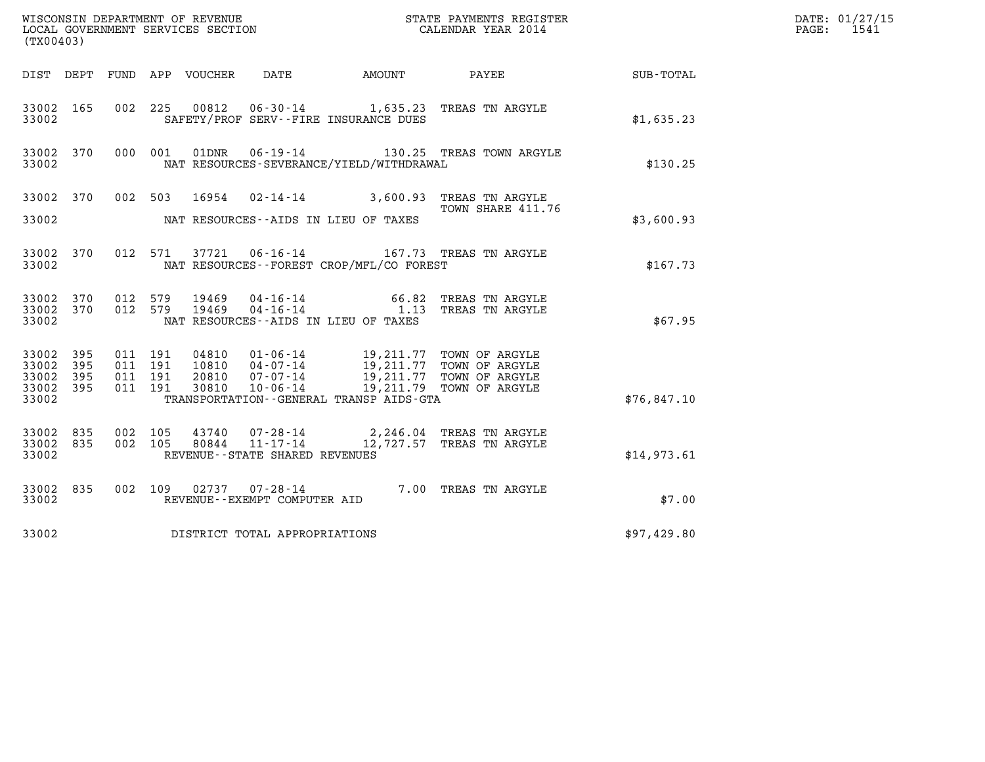| (TX00403)                                             |       |                               |         |                |                                                     |                                                                                                                                                                                                                                                                                                                                                                                                                                                |                                                                 |                  | DATE: 01/27/15<br>$\mathtt{PAGE:}$<br>1541 |
|-------------------------------------------------------|-------|-------------------------------|---------|----------------|-----------------------------------------------------|------------------------------------------------------------------------------------------------------------------------------------------------------------------------------------------------------------------------------------------------------------------------------------------------------------------------------------------------------------------------------------------------------------------------------------------------|-----------------------------------------------------------------|------------------|--------------------------------------------|
|                                                       |       |                               |         |                |                                                     | DIST DEPT FUND APP VOUCHER DATE AMOUNT PAYEE                                                                                                                                                                                                                                                                                                                                                                                                   |                                                                 | <b>SUB-TOTAL</b> |                                            |
| 33002 165<br>33002                                    |       |                               |         |                |                                                     | SAFETY/PROF SERV--FIRE INSURANCE DUES                                                                                                                                                                                                                                                                                                                                                                                                          | 002 225 00812 06-30-14 1,635.23 TREAS TN ARGYLE                 | \$1,635.23       |                                            |
| 33002 370<br>33002                                    |       |                               | 000 001 |                |                                                     | NAT RESOURCES-SEVERANCE/YIELD/WITHDRAWAL                                                                                                                                                                                                                                                                                                                                                                                                       | 01DNR  06-19-14   130.25 TREAS TOWN ARGYLE                      | \$130.25         |                                            |
| 33002 370<br>33002                                    |       |                               | 002 503 | 16954          |                                                     | NAT RESOURCES--AIDS IN LIEU OF TAXES                                                                                                                                                                                                                                                                                                                                                                                                           | 02-14-14 3,600.93 TREAS TN ARGYLE<br>TOWN SHARE 411.76          | \$3,600.93       |                                            |
| 33002                                                 |       |                               |         |                |                                                     | NAT RESOURCES - - FOREST CROP/MFL/CO FOREST                                                                                                                                                                                                                                                                                                                                                                                                    | 33002 370 012 571 37721 06-16-14 167.73 TREAS TN ARGYLE         | \$167.73         |                                            |
| 33002 370 012 579<br>33002 370<br>33002               |       | 012 579                       |         | 19469<br>19469 |                                                     | NAT RESOURCES -- AIDS IN LIEU OF TAXES                                                                                                                                                                                                                                                                                                                                                                                                         | 04-16-14 66.82 TREAS IN ANGLE 04-16-14 1.13 TREAS TN ARGYLE     | \$67.95          |                                            |
| 33002 395<br>33002 395<br>33002<br>33002 395<br>33002 | - 395 | 011 191<br>011 191<br>011 191 | 011 191 |                |                                                     | $\begin{array}{cccc} 04810 & 01\textnormal{-}06\textnormal{-}14 & 19,211.77 & \textnormal{TOWN OF ARGYLE} \\ 10810 & 04\textnormal{-}07\textnormal{-}14 & 19,211.77 & \textnormal{TOWN OF ARGYLE} \\ 20810 & 07\textnormal{-}07\textnormal{-}14 & 19,211.77 & \textnormal{TOWN OF ARGYLE} \\ 30810 & 10\textnormal{-}06\textnormal{-}14 & 19,211.79 & \textnormal{TOWN OF ARGYLE} \end{array}$<br>TRANSPORTATION - - GENERAL TRANSP AIDS - GTA |                                                                 | \$76,847.10      |                                            |
| 33002 835<br>33002 835<br>33002                       |       | 002 105<br>002 105            |         | 43740<br>80844 | $11 - 17 - 14$<br>REVENUE - - STATE SHARED REVENUES |                                                                                                                                                                                                                                                                                                                                                                                                                                                | 07-28-14 2, 246.04 TREAS TN ARGYLE<br>12,727.57 TREAS TN ARGYLE | \$14,973.61      |                                            |
| 33002 835<br>33002                                    |       |                               |         |                | REVENUE--EXEMPT COMPUTER AID                        |                                                                                                                                                                                                                                                                                                                                                                                                                                                | 002 109 02737 07-28-14 7.00 TREAS TN ARGYLE                     | \$7.00           |                                            |
| 33002                                                 |       |                               |         |                | DISTRICT TOTAL APPROPRIATIONS                       |                                                                                                                                                                                                                                                                                                                                                                                                                                                |                                                                 | \$97,429.80      |                                            |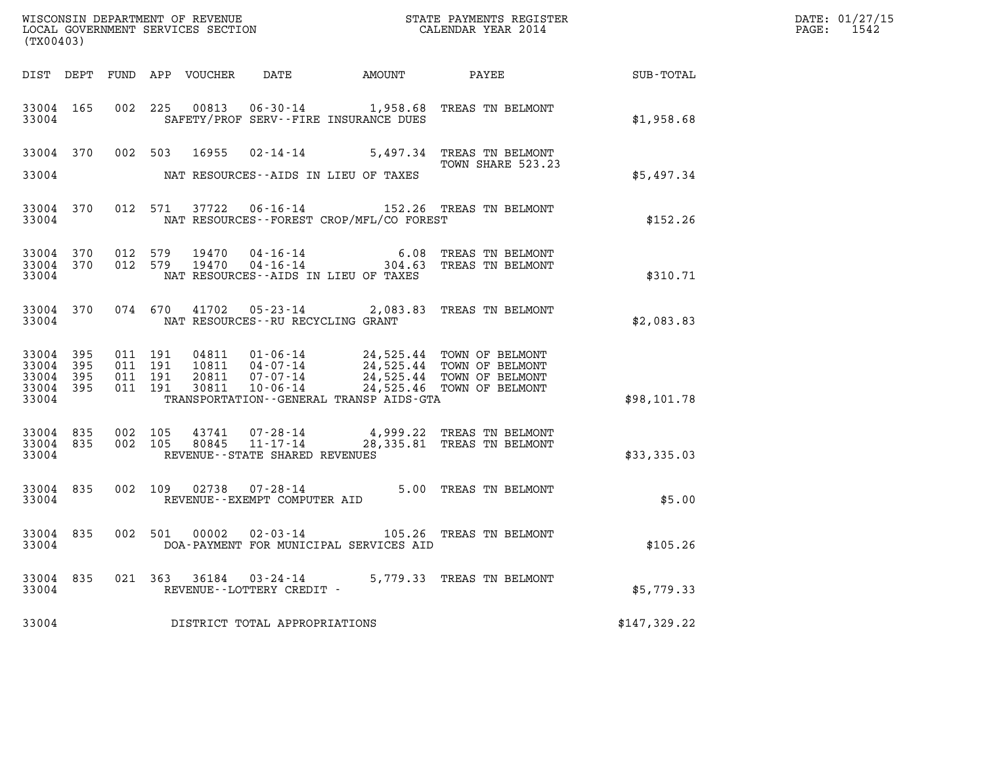| (TX00403)                                     |                   |                                          |                                                     |                                              |                                                                                                                                                                                                                                         |              | DATE: 01/27/15<br>PAGE: 1542 |
|-----------------------------------------------|-------------------|------------------------------------------|-----------------------------------------------------|----------------------------------------------|-----------------------------------------------------------------------------------------------------------------------------------------------------------------------------------------------------------------------------------------|--------------|------------------------------|
|                                               |                   |                                          |                                                     |                                              |                                                                                                                                                                                                                                         |              |                              |
| 33004                                         | 33004 165         |                                          |                                                     | SAFETY/PROF SERV--FIRE INSURANCE DUES        | 002 225 00813 06-30-14 1,958.68 TREAS TN BELMONT                                                                                                                                                                                        | \$1,958.68   |                              |
|                                               |                   |                                          |                                                     |                                              | 33004 370 002 503 16955 02-14-14 5,497.34 TREAS TN BELMONT<br>TOWN SHARE 523.23                                                                                                                                                         |              |                              |
| 33004                                         |                   |                                          |                                                     | NAT RESOURCES--AIDS IN LIEU OF TAXES         |                                                                                                                                                                                                                                         | \$5,497.34   |                              |
| 33004                                         |                   |                                          |                                                     | NAT RESOURCES - - FOREST CROP/MFL/CO FOREST  | 33004 370 012 571 37722 06-16-14 152.26 TREAS TN BELMONT                                                                                                                                                                                | \$152.26     |                              |
| 33004                                         |                   |                                          |                                                     | NAT RESOURCES--AIDS IN LIEU OF TAXES         | $\begin{array}{cccccc} 33004 & 370 & 012 & 579 & 19470 & 04\cdot 16\cdot 14 & & & & & 6.08 & \text{TREAS TN BELMONT} \\ 33004 & 370 & 012 & 579 & 19470 & 04\cdot 16\cdot 14 & & & & 304\cdot 63 & \text{TREAS TN BELMONT} \end{array}$ | \$310.71     |                              |
| 33004                                         |                   |                                          | NAT RESOURCES--RU RECYCLING GRANT                   |                                              | 33004 370 074 670 41702 05-23-14 2,083.83 TREAS TN BELMONT                                                                                                                                                                              | \$2,083.83   |                              |
| 33004 395<br>33004<br>33004<br>33004<br>33004 | 395<br>395<br>395 | 011 191<br>011 191<br>011 191<br>011 191 |                                                     | TRANSPORTATION - - GENERAL TRANSP AIDS - GTA | 04811  01-06-14  24,525.44  TOWN OF BELMONT<br>10811  04-07-14  24,525.44  TOWN OF BELMONT<br>20811  07-07-14  24,525.44  TOWN OF BELMONT<br>30811  10-06-14  24,525.46  TOWN OF BELMONT                                                | \$98,101.78  |                              |
| 33004 835<br>33004 835<br>33004               |                   | 002 105<br>002 105                       | REVENUE--STATE SHARED REVENUES                      |                                              | $43741$ 07-28-14 4,999.22 TREAS TN BELMONT<br>80845 11-17-14 28,335.81 TREAS TN BELMONT                                                                                                                                                 | \$33,335.03  |                              |
| 33004                                         |                   |                                          | REVENUE--EXEMPT COMPUTER AID                        |                                              | 33004 835 002 109 02738 07-28-14 5.00 TREAS TN BELMONT                                                                                                                                                                                  | \$5.00       |                              |
| 33004                                         |                   |                                          |                                                     | DOA-PAYMENT FOR MUNICIPAL SERVICES AID       | 33004 835 002 501 00002 02-03-14 105.26 TREAS TN BELMONT                                                                                                                                                                                | \$105.26     |                              |
| 33004 835<br>33004                            |                   |                                          | 021 363 36184 03-24-14<br>REVENUE--LOTTERY CREDIT - |                                              | 5,779.33 TREAS TN BELMONT                                                                                                                                                                                                               | \$5,779.33   |                              |
| 33004                                         |                   |                                          | DISTRICT TOTAL APPROPRIATIONS                       |                                              |                                                                                                                                                                                                                                         | \$147,329.22 |                              |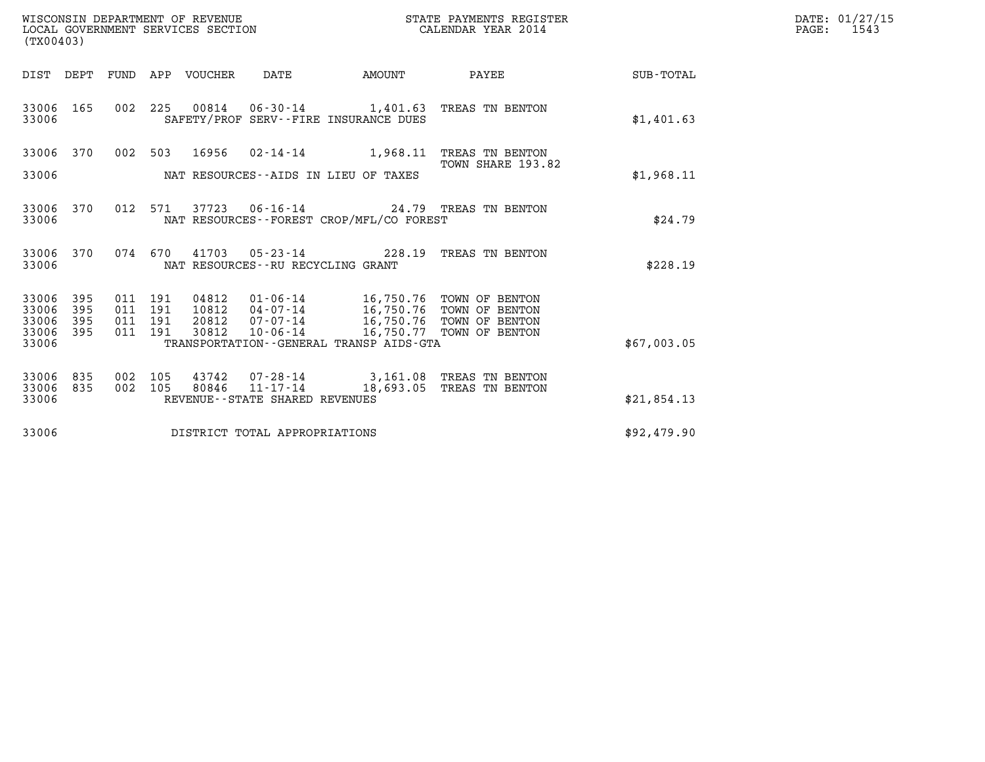| WISCONSIN DEPARTMENT OF REVENUE   | STATE PAYMENTS REGISTER | DATE: 01/27/15 |
|-----------------------------------|-------------------------|----------------|
| LOCAL GOVERNMENT SERVICES SECTION | CALENDAR YEAR 2014      | 1543<br>PAGE:  |

| WISCONSIN DEPARTMENT OF REVENUE<br>LOCAL GOVERNMENT SERVICES SECTION<br>(TX00403) |                                                                                            |                        | STATE PAYMENTS REGISTER<br>CALENDAR YEAR 2014        |                  |
|-----------------------------------------------------------------------------------|--------------------------------------------------------------------------------------------|------------------------|------------------------------------------------------|------------------|
| DIST<br>DEPT<br>FUND                                                              | APP<br>VOUCHER<br>DATE                                                                     | <b>AMOUNT</b>          | PAYEE                                                | <b>SUB-TOTAL</b> |
| 165<br>002<br>33006<br>33006                                                      | 225<br>00814  06-30-14  1,401.63  TREAS TN BENTON<br>SAFETY/PROF SERV--FIRE INSURANCE DUES |                        |                                                      | \$1,401.63       |
| 002<br>33006<br>370                                                               | 503<br>16956<br>$02 - 14 - 14$                                                             | 1,968.11               | TREAS TN BENTON<br>TOWN SHARE 193.82                 |                  |
| 33006                                                                             | NAT RESOURCES--AIDS IN LIEU OF TAXES                                                       |                        |                                                      | \$1,968.11       |
| 33006<br>370<br>012<br>33006                                                      | 37723<br>571<br>NAT RESOURCES - - FOREST CROP/MFL/CO FOREST                                |                        | 06-16-14 24.79 TREAS TN BENTON                       | \$24.79          |
| 33006<br>370<br>074<br>33006                                                      | 670<br>41703<br>$05 - 23 - 14$<br>NAT RESOURCES - - RU RECYCLING GRANT                     | 228.19                 | TREAS TN BENTON                                      | \$228.19         |
| 395<br>33006<br>011<br>395<br>33006<br>011                                        | $01 - 06 - 14$<br>191<br>04812<br>191<br>10812<br>04-07-14                                 | 16,750.76              | 16,750.76 TOWN OF BENTON<br>TOWN OF BENTON           |                  |
| 395<br>011<br>33006<br>395<br>33006<br>011                                        | 191<br>20812<br>$07 - 07 - 14$<br>191<br>30812<br>$10 - 06 - 14$                           | 16,750.76<br>16,750.77 | TOWN OF BENTON<br>TOWN OF BENTON                     |                  |
| 33006                                                                             | TRANSPORTATION--GENERAL TRANSP AIDS-GTA                                                    |                        |                                                      | \$67,003.05      |
| 835<br>33006<br>002<br>33006<br>835<br>002                                        | 105<br>43742<br>$11 - 17 - 14$<br>80846<br>105                                             | 18,693.05              | 07-28-14 3,161.08 TREAS TN BENTON<br>TREAS TN BENTON |                  |
| 33006                                                                             | REVENUE - - STATE SHARED REVENUES                                                          |                        |                                                      | \$21,854.13      |
| 33006                                                                             | DISTRICT TOTAL APPROPRIATIONS                                                              |                        |                                                      | \$92,479.90      |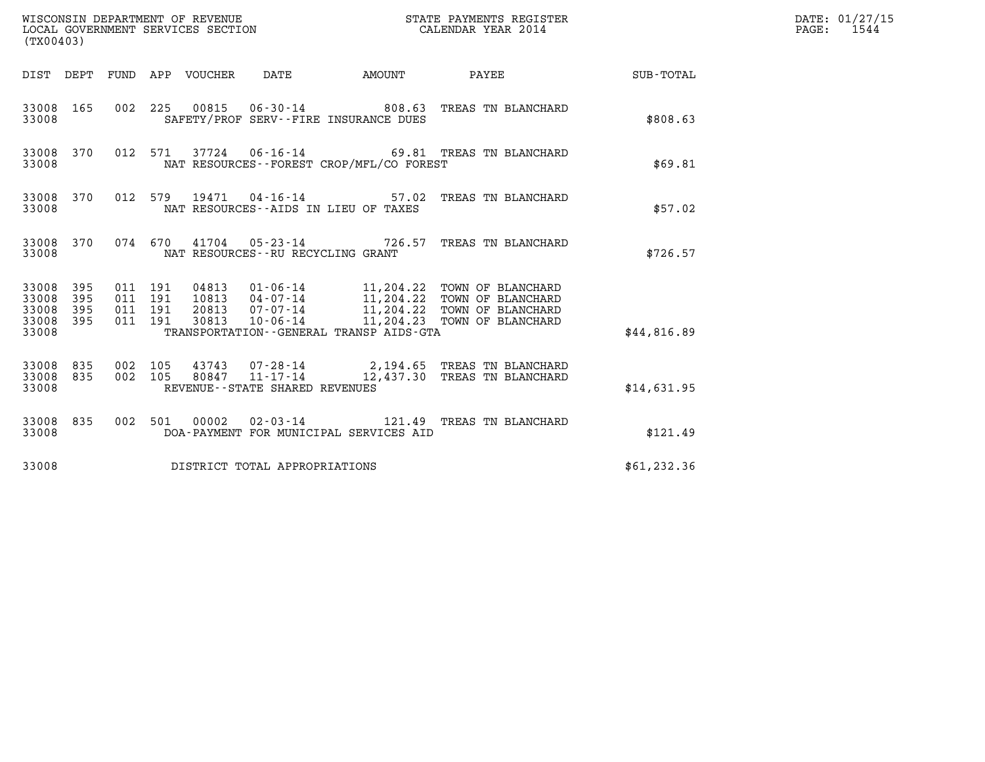| (TX00403)                                                       |                                          |                                  |                                                     |        | STATE PAYMENTS REGISTER                                                                                                                                             |                    | DATE: 01/27/15<br>$\mathtt{PAGE:}$<br>1544 |
|-----------------------------------------------------------------|------------------------------------------|----------------------------------|-----------------------------------------------------|--------|---------------------------------------------------------------------------------------------------------------------------------------------------------------------|--------------------|--------------------------------------------|
|                                                                 |                                          | DIST DEPT FUND APP VOUCHER DATE  |                                                     | AMOUNT | <b>PAYEE</b>                                                                                                                                                        | <b>SUB - TOTAL</b> |                                            |
| 33008 165<br>33008                                              |                                          |                                  | SAFETY/PROF SERV--FIRE INSURANCE DUES               |        | 002 225 00815 06-30-14 808.63 TREAS TN BLANCHARD                                                                                                                    | \$808.63           |                                            |
| 33008 370<br>33008                                              |                                          |                                  | NAT RESOURCES--FOREST CROP/MFL/CO FOREST            |        | 012 571 37724 06-16-14 69.81 TREAS TN BLANCHARD                                                                                                                     | \$69.81            |                                            |
| 33008 370<br>33008                                              |                                          |                                  | NAT RESOURCES--AIDS IN LIEU OF TAXES                |        | 012 579 19471 04-16-14 57.02 TREAS TN BLANCHARD                                                                                                                     | \$57.02            |                                            |
| 33008                                                           |                                          |                                  | NAT RESOURCES -- RU RECYCLING GRANT                 |        | 33008 370 074 670 41704 05-23-14 726.57 TREAS TN BLANCHARD                                                                                                          | \$726.57           |                                            |
| 33008 395<br>33008<br>395<br>33008<br>395<br>33008 395<br>33008 | 011 191<br>011 191<br>011 191<br>011 191 | 04813<br>10813<br>20813<br>30813 | TRANSPORTATION--GENERAL TRANSP AIDS-GTA             |        | 01-06-14 11,204.22 TOWN OF BLANCHARD<br>$04 - 07 - 14$ 11, 204.22 TOWN OF BLANCHARD<br>07-07-14 11,204.22 TOWN OF BLANCHARD<br>10-06-14 11,204.23 TOWN OF BLANCHARD | \$44,816.89        |                                            |
| 33008 835<br>33008 835<br>33008                                 | 002 105<br>002 105                       | 80847                            | $11 - 17 - 14$<br>REVENUE - - STATE SHARED REVENUES |        | 43743 07-28-14 2,194.65 TREAS TN BLANCHARD<br>12,437.30 TREAS TN BLANCHARD                                                                                          | \$14,631.95        |                                            |
| 33008 835<br>33008                                              |                                          |                                  | DOA-PAYMENT FOR MUNICIPAL SERVICES AID              |        | 002 501 00002 02-03-14 121.49 TREAS TN BLANCHARD                                                                                                                    | \$121.49           |                                            |
| 33008                                                           |                                          |                                  | DISTRICT TOTAL APPROPRIATIONS                       |        |                                                                                                                                                                     | \$61, 232.36       |                                            |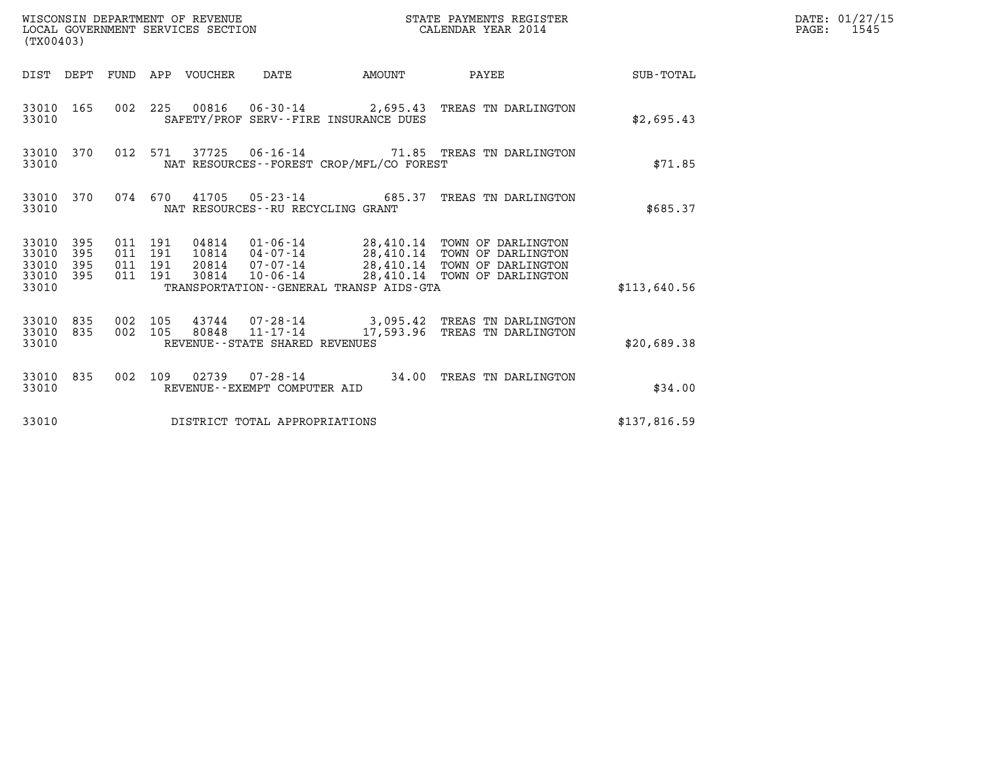| WISCONSIN DEPARTMENT OF REVENUE<br>LOCAL GOVERNMENT SERVICES SECTION<br>(TX00403) |                                                                                                                                                                                                                                                                | STATE PAYMENTS REGISTER<br>CALENDAR YEAR 2014 |              | DATE: 01/27/15<br>$\mathtt{PAGE:}$<br>1545 |
|-----------------------------------------------------------------------------------|----------------------------------------------------------------------------------------------------------------------------------------------------------------------------------------------------------------------------------------------------------------|-----------------------------------------------|--------------|--------------------------------------------|
|                                                                                   | DIST DEPT FUND APP VOUCHER DATE<br>AMOUNT                                                                                                                                                                                                                      | PAYEE SUB-TOTAL                               |              |                                            |
| 33010 165<br>33010                                                                | 002 225 00816 06-30-14 2,695.43 TREAS TN DARLINGTON<br>SAFETY/PROF SERV--FIRE INSURANCE DUES                                                                                                                                                                   |                                               | \$2,695.43   |                                            |
| 33010 370<br>33010                                                                | 012 571<br>37725  06-16-14  71.85  TREAS TN DARLINGTON<br>NAT RESOURCES - - FOREST CROP/MFL/CO FOREST                                                                                                                                                          |                                               | \$71.85      |                                            |
| 33010 370<br>33010                                                                | 074 670 41705 05-23-14 685.37 TREAS TN DARLINGTON<br>NAT RESOURCES - - RU RECYCLING GRANT                                                                                                                                                                      |                                               | \$685.37     |                                            |
| 33010 395<br>33010<br>395<br>33010<br>395<br>33010 395<br>33010                   | 011 191<br>04814  01-06-14  28,410.14  TOWN OF DARLINGTON<br>10814  04-07-14  28,410.14  TOWN OF DARLINGTON<br>011 191<br>20814  07-07-14  28,410.14  TOWN OF DARLINGTON<br>011 191<br>011 191<br>30814<br>10-06-14<br>TRANSPORTATION--GENERAL TRANSP AIDS-GTA | 28,410.14 TOWN OF DARLINGTON                  | \$113,640.56 |                                            |
| 33010 835<br>33010 835<br>33010                                                   | 002 105<br>43744  07-28-14  3,095.42  TREAS TN DARLINGTON<br>$11 - 17 - 14$<br>002 105<br>80848<br>REVENUE - - STATE SHARED REVENUES                                                                                                                           | 17,593.96 TREAS TN DARLINGTON                 | \$20,689.38  |                                            |
| 33010 835<br>33010                                                                | 002 109 02739 07-28-14 34.00 TREAS TN DARLINGTON<br>REVENUE--EXEMPT COMPUTER AID                                                                                                                                                                               |                                               | \$34.00      |                                            |
| 33010                                                                             | DISTRICT TOTAL APPROPRIATIONS                                                                                                                                                                                                                                  |                                               | \$137,816.59 |                                            |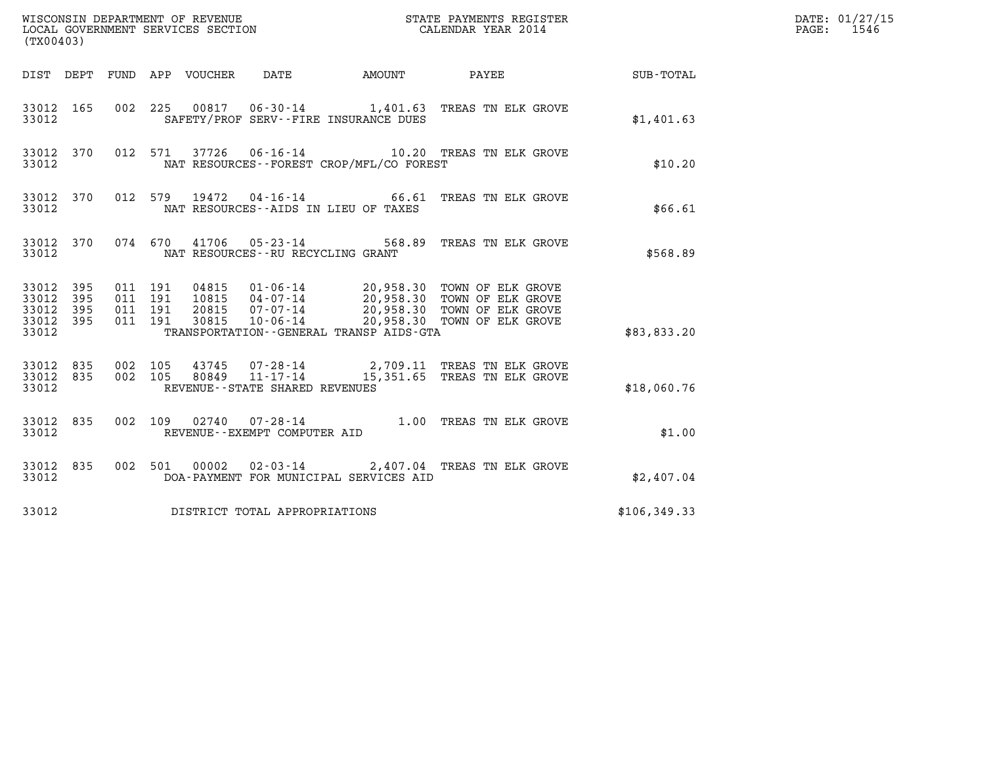| WISCONSIN DEPARTMENT OF REVENUE<br>LOCAL GOVERNMENT SERVICES SECTION<br>(TWOOAO) CALENDAR YEAR 2014<br>(TX00403) |            |                                          |  |                                 |                                                                                                                                                                                                                                             |  |                           |              | DATE: 01/27/15<br>$\mathtt{PAGE:}$<br>1546 |
|------------------------------------------------------------------------------------------------------------------|------------|------------------------------------------|--|---------------------------------|---------------------------------------------------------------------------------------------------------------------------------------------------------------------------------------------------------------------------------------------|--|---------------------------|--------------|--------------------------------------------|
|                                                                                                                  |            |                                          |  | DIST DEPT FUND APP VOUCHER DATE |                                                                                                                                                                                                                                             |  | AMOUNT PAYEE SUB-TOTAL    |              |                                            |
| 33012 165<br>33012                                                                                               |            | 002 225                                  |  |                                 | 00817  06-30-14   1,401.63   TREAS TN ELK GROVE<br>SAFETY/PROF SERV--FIRE INSURANCE DUES                                                                                                                                                    |  |                           | \$1,401.63   |                                            |
| 33012 370<br>33012                                                                                               |            |                                          |  |                                 | 012 571 37726 06-16-14 10.20 TREAS TN ELK GROVE<br>NAT RESOURCES - - FOREST CROP/MFL/CO FOREST                                                                                                                                              |  |                           | \$10.20      |                                            |
| 33012 370<br>33012                                                                                               |            |                                          |  | 012 579 19472                   | 04-16-14 66.61 TREAS TN ELK GROVE<br>NAT RESOURCES--AIDS IN LIEU OF TAXES                                                                                                                                                                   |  |                           | \$66.61      |                                            |
| 33012 370<br>33012                                                                                               |            |                                          |  |                                 | 074 670 41706 05-23-14<br>NAT RESOURCES - - RU RECYCLING GRANT                                                                                                                                                                              |  | 568.89 TREAS TN ELK GROVE | \$568.89     |                                            |
| 33012 395<br>33012<br>33012<br>33012 395<br>33012                                                                | 395<br>395 | 011 191<br>011 191<br>011 191<br>011 191 |  |                                 | 04815  01-06-14  20,958.30  TOWN OF ELK GROVE<br>10815  04-07-14  20,958.30  TOWN OF ELK GROVE<br>20815  07-07-14  20,958.30  TOWN OF ELK GROVE<br>30815  10-06-14  20,958.30  TOWN OF ELK GROVE<br>TRANSPORTATION--GENERAL TRANSP AIDS-GTA |  |                           | \$83,833.20  |                                            |
| 33012 835<br>33012 835<br>33012                                                                                  |            | 002 105<br>002 105                       |  |                                 | 43745  07-28-14  2,709.11 TREAS TN ELK GROVE<br>80849  11-17-14  15,351.65 TREAS TN ELK GROVE<br>REVENUE--STATE SHARED REVENUES                                                                                                             |  |                           | \$18,060.76  |                                            |
| 33012 835<br>33012                                                                                               |            |                                          |  |                                 | 002 109 02740 07-28-14 1.00 TREAS TN ELK GROVE<br>REVENUE--EXEMPT COMPUTER AID                                                                                                                                                              |  |                           | \$1.00       |                                            |
| 33012 835<br>33012                                                                                               |            |                                          |  | 002 501 00002                   | 02-03-14 2,407.04 TREAS TN ELK GROVE<br>DOA-PAYMENT FOR MUNICIPAL SERVICES AID                                                                                                                                                              |  |                           | \$2,407.04   |                                            |
| 33012                                                                                                            |            |                                          |  |                                 | DISTRICT TOTAL APPROPRIATIONS                                                                                                                                                                                                               |  |                           | \$106,349.33 |                                            |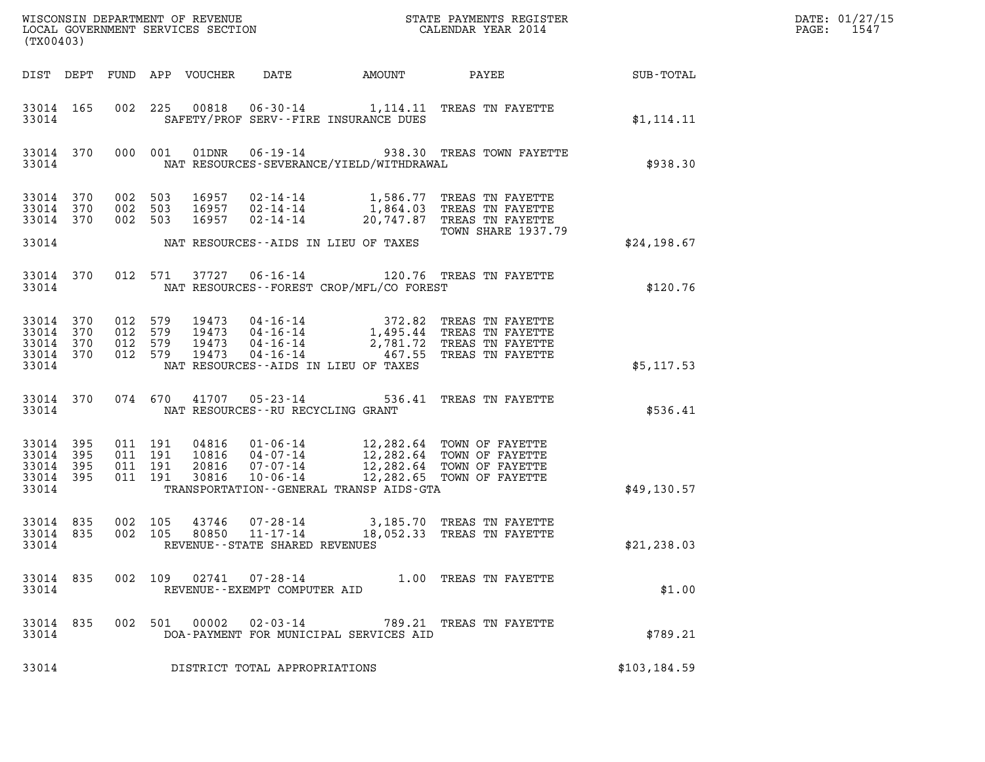| (TX00403)                                     |                     |                                          |         |                                 |                                                                |                                          |                                                                                                                                                                           |               | DATE: 01/27/15<br>PAGE: 1547 |
|-----------------------------------------------|---------------------|------------------------------------------|---------|---------------------------------|----------------------------------------------------------------|------------------------------------------|---------------------------------------------------------------------------------------------------------------------------------------------------------------------------|---------------|------------------------------|
|                                               |                     |                                          |         | DIST DEPT FUND APP VOUCHER DATE |                                                                | AMOUNT PAYEE                             |                                                                                                                                                                           | SUB-TOTAL     |                              |
| 33014 165<br>33014                            |                     |                                          |         |                                 |                                                                | SAFETY/PROF SERV--FIRE INSURANCE DUES    | 002 225 00818 06-30-14 1,114.11 TREAS TN FAYETTE                                                                                                                          | \$1,114.11    |                              |
| 33014 370<br>33014                            |                     |                                          |         |                                 |                                                                | NAT RESOURCES-SEVERANCE/YIELD/WITHDRAWAL | 000 001 01DNR 06-19-14 938.30 TREAS TOWN FAYETTE                                                                                                                          | \$938.30      |                              |
| 33014 370<br>33014<br>33014                   | 370<br>370          | 002 503<br>002 503                       | 002 503 |                                 |                                                                |                                          | 16957  02-14-14   1,586.77 TREAS TN FAYETTE<br>16957  02-14-14   1,864.03 TREAS TN FAYETTE<br>16957  02-14-14   20,747.87 TREAS TN FAYETTE<br><b>TOWN SHARE 1937.79</b>   |               |                              |
| 33014                                         |                     |                                          |         |                                 |                                                                | NAT RESOURCES--AIDS IN LIEU OF TAXES     |                                                                                                                                                                           | \$24,198.67   |                              |
| 33014 370<br>33014                            |                     |                                          |         |                                 |                                                                | NAT RESOURCES--FOREST CROP/MFL/CO FOREST | 012 571 37727 06-16-14 120.76 TREAS TN FAYETTE                                                                                                                            | \$120.76      |                              |
| 33014 370<br>33014<br>33014<br>33014<br>33014 | 370<br>370<br>370   | 012 579<br>012 579<br>012 579<br>012 579 |         | 19473                           |                                                                | NAT RESOURCES--AIDS IN LIEU OF TAXES     | 19473  04-16-14  372.82 TREAS TN FAYETTE<br>19473  04-16-14  1,495.44 TREAS TN FAYETTE<br>19473  04-16-14  2,781.72 TREAS TN FAYETTE<br>04-16-14  467.55 TREAS TN FAYETTE | \$5,117.53    |                              |
| 33014                                         | 33014 370           |                                          |         |                                 | 074 670 41707 05-23-14<br>NAT RESOURCES - - RU RECYCLING GRANT |                                          | 536.41 TREAS TN FAYETTE                                                                                                                                                   | \$536.41      |                              |
| 33014 395<br>33014<br>33014<br>33014<br>33014 | 395<br>395<br>- 395 | 011 191<br>011 191<br>011 191<br>011 191 |         |                                 |                                                                | TRANSPORTATION--GENERAL TRANSP AIDS-GTA  |                                                                                                                                                                           | \$49,130.57   |                              |
| 33014 835<br>33014 835<br>33014               |                     | 002 105<br>002 105                       |         | 43746<br>80850                  | 11-17-14<br>REVENUE - - STATE SHARED REVENUES                  |                                          | 07-28-14 3,185.70 TREAS TN FAYETTE<br>18,052.33 TREAS TN FAYETTE                                                                                                          | \$21, 238.03  |                              |
| 33014                                         | 33014 835           |                                          |         |                                 | REVENUE--EXEMPT COMPUTER AID                                   |                                          | 002 109 02741 07-28-14 1.00 TREAS TN FAYETTE                                                                                                                              | \$1.00        |                              |
| 33014 835<br>33014                            |                     |                                          |         | 002 501 00002                   |                                                                | DOA-PAYMENT FOR MUNICIPAL SERVICES AID   | 02-03-14 789.21 TREAS TN FAYETTE                                                                                                                                          | \$789.21      |                              |
| 33014                                         |                     |                                          |         |                                 | DISTRICT TOTAL APPROPRIATIONS                                  |                                          |                                                                                                                                                                           | \$103, 184.59 |                              |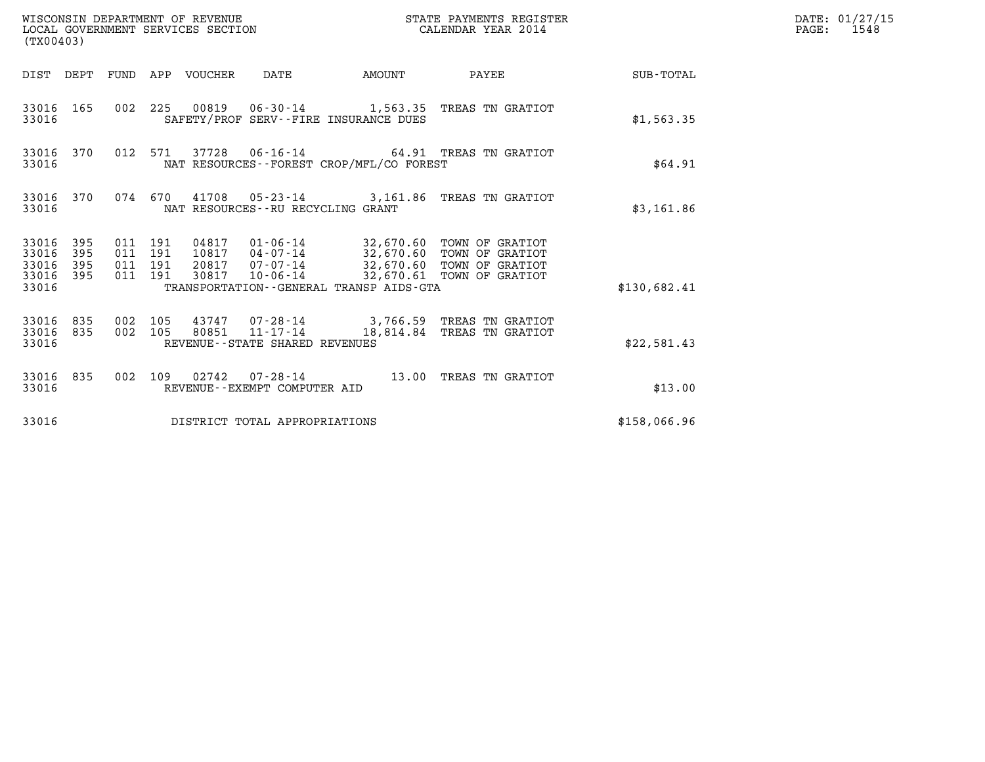| (TX00403)                                         |            |                                          | WISCONSIN DEPARTMENT OF REVENUE<br>LOCAL GOVERNMENT SERVICES SECTION |                                      |                                              | STATE PAYMENTS REGISTER<br>CALENDAR YEAR 2014                                                                                                                                |                 | DATE: 01/27/15<br>$\mathtt{PAGE:}$<br>1548 |
|---------------------------------------------------|------------|------------------------------------------|----------------------------------------------------------------------|--------------------------------------|----------------------------------------------|------------------------------------------------------------------------------------------------------------------------------------------------------------------------------|-----------------|--------------------------------------------|
|                                                   |            |                                          | DIST DEPT FUND APP VOUCHER DATE                                      |                                      | AMOUNT                                       |                                                                                                                                                                              | PAYEE SUB-TOTAL |                                            |
| 33016 165<br>33016                                |            |                                          |                                                                      |                                      | SAFETY/PROF SERV--FIRE INSURANCE DUES        | 002 225 00819 06-30-14 1,563.35 TREAS TN GRATIOT                                                                                                                             | \$1,563.35      |                                            |
| 33016 370<br>33016                                |            | 012 571                                  |                                                                      |                                      | NAT RESOURCES--FOREST CROP/MFL/CO FOREST     | 37728  06-16-14  64.91 TREAS TN GRATIOT                                                                                                                                      | \$64.91         |                                            |
| 33016 370<br>33016                                |            |                                          |                                                                      | NAT RESOURCES - - RU RECYCLING GRANT |                                              | 074 670 41708 05-23-14 3,161.86 TREAS TN GRATIOT                                                                                                                             | \$3,161.86      |                                            |
| 33016 395<br>33016<br>33016<br>33016 395<br>33016 | 395<br>395 | 011 191<br>011 191<br>011 191<br>011 191 | 30817                                                                |                                      | TRANSPORTATION - - GENERAL TRANSP AIDS - GTA | 04817  01-06-14  32,670.60 TOWN OF GRATIOT<br>10817  04-07-14  32,670.60 TOWN OF GRATIOT<br>20817  07-07-14  32,670.60 TOWN OF GRATIOT<br>10-06-14 32,670.61 TOWN OF GRATIOT | \$130.682.41    |                                            |
| 33016 835<br>33016 835                            |            | 002 105<br>002 105                       |                                                                      | 80851 11-17-14                       |                                              | 43747 07-28-14 3,766.59 TREAS TN GRATIOT<br>18,814.84 TREAS TN GRATIOT                                                                                                       |                 |                                            |
| 33016                                             |            |                                          |                                                                      | REVENUE--STATE SHARED REVENUES       |                                              |                                                                                                                                                                              | \$22,581.43     |                                            |
| 33016 835<br>33016                                |            |                                          |                                                                      | REVENUE--EXEMPT COMPUTER AID         |                                              | 002 109 02742 07-28-14 13.00 TREAS TN GRATIOT                                                                                                                                | \$13.00         |                                            |
| 33016                                             |            |                                          |                                                                      | DISTRICT TOTAL APPROPRIATIONS        |                                              |                                                                                                                                                                              | \$158,066.96    |                                            |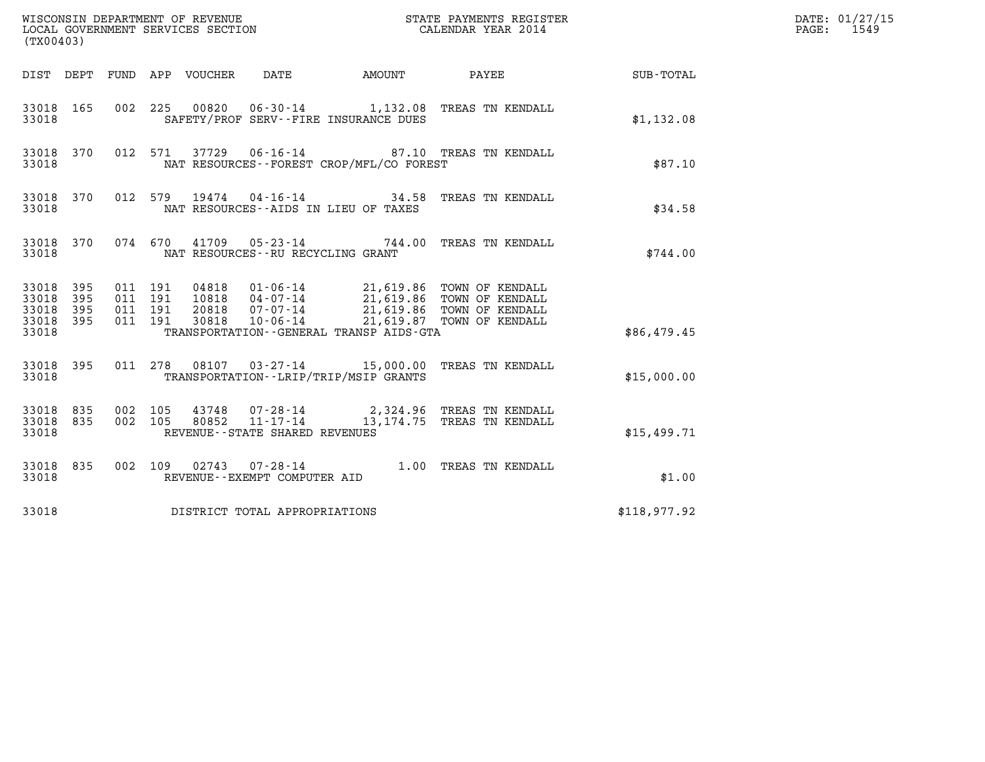| (TX00403)                                         |            |                    |                               |                                |                                          |                                                                                           |                        | DATE: 01/27/15<br>$\mathtt{PAGE:}$<br>1549 |
|---------------------------------------------------|------------|--------------------|-------------------------------|--------------------------------|------------------------------------------|-------------------------------------------------------------------------------------------|------------------------|--------------------------------------------|
|                                                   |            |                    | DIST DEPT FUND APP VOUCHER    | DATE                           |                                          |                                                                                           | AMOUNT PAYEE SUB-TOTAL |                                            |
| 33018 165<br>33018                                |            |                    | 002 225                       |                                | SAFETY/PROF SERV--FIRE INSURANCE DUES    | 00820  06-30-14  1,132.08  TREAS TN KENDALL                                               | \$1,132.08             |                                            |
| 33018 370<br>33018                                |            |                    | 012 571                       |                                | NAT RESOURCES--FOREST CROP/MFL/CO FOREST | 37729  06-16-14  87.10  TREAS TN KENDALL                                                  | \$87.10                |                                            |
| 33018 370<br>33018                                |            |                    |                               |                                | NAT RESOURCES -- AIDS IN LIEU OF TAXES   | 012 579 19474 04-16-14 34.58 TREAS TN KENDALL                                             | \$34.58                |                                            |
| 33018 370<br>33018                                |            |                    |                               |                                | NAT RESOURCES - - RU RECYCLING GRANT     | 074 670 41709 05-23-14 744.00 TREAS TN KENDALL                                            | \$744.00               |                                            |
| 33018 395<br>33018<br>33018<br>33018 395<br>33018 | 395<br>395 | 011 191            | 011 191<br>011 191<br>011 191 |                                | TRANSPORTATION--GENERAL TRANSP AIDS-GTA  |                                                                                           | \$86,479.45            |                                            |
| 33018 395<br>33018                                |            |                    |                               |                                | TRANSPORTATION--LRIP/TRIP/MSIP GRANTS    | 011 278 08107 03-27-14 15,000.00 TREAS TN KENDALL                                         | \$15,000.00            |                                            |
| 33018 835<br>33018 835<br>33018                   |            | 002 105<br>002 105 |                               | REVENUE--STATE SHARED REVENUES |                                          | 43748  07-28-14  2,324.96 TREAS TN KENDALL<br>80852  11-17-14  13,174.75 TREAS TN KENDALL | \$15,499.71            |                                            |
| 33018 835<br>33018                                |            |                    |                               | REVENUE--EXEMPT COMPUTER AID   |                                          | 002 109 02743 07-28-14 1.00 TREAS TN KENDALL                                              | \$1.00                 |                                            |
| 33018                                             |            |                    |                               | DISTRICT TOTAL APPROPRIATIONS  |                                          |                                                                                           | \$118,977.92           |                                            |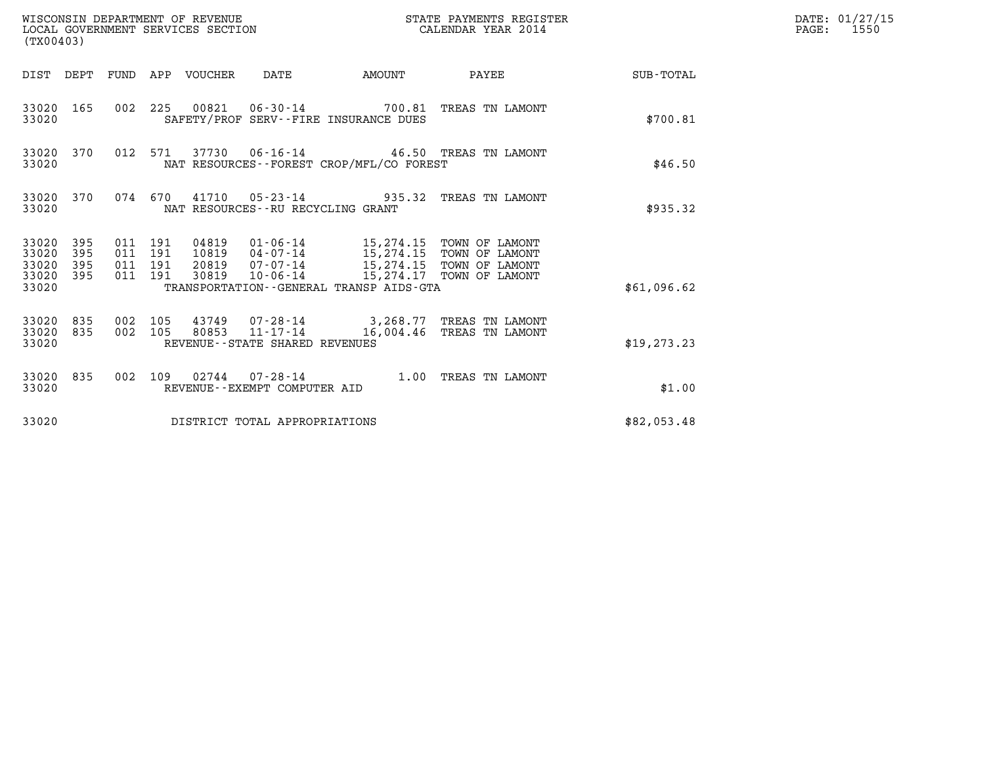| (TX00403)                                                                                                   | WISCONSIN DEPARTMENT OF REVENUE<br>LOCAL GOVERNMENT SERVICES SECTION<br>CALENDAR YEAR 2014                                                                                                                                           | STATE PAYMENTS REGISTER | DATE: 01/27/15<br>PAGE: 1550 |
|-------------------------------------------------------------------------------------------------------------|--------------------------------------------------------------------------------------------------------------------------------------------------------------------------------------------------------------------------------------|-------------------------|------------------------------|
|                                                                                                             | DIST DEPT FUND APP VOUCHER DATE                                                                                                                                                                                                      | AMOUNT PAYEE SUB-TOTAL  |                              |
| 33020 165<br>33020                                                                                          | 002 225 00821 06-30-14 700.81 TREAS TN LAMONT<br>SAFETY/PROF SERV--FIRE INSURANCE DUES                                                                                                                                               | \$700.81                |                              |
| 33020 370<br>33020                                                                                          | 012 571 37730 06-16-14 46.50 TREAS TN LAMONT<br>NAT RESOURCES - - FOREST CROP/MFL/CO FOREST                                                                                                                                          | \$46.50                 |                              |
| 33020 370<br>33020                                                                                          | 074 670 41710 05-23-14 935.32 TREAS TN LAMONT<br>NAT RESOURCES--RU RECYCLING GRANT                                                                                                                                                   | \$935.32                |                              |
| 33020 395<br>011 191<br>33020<br>011 191<br>395<br>33020<br>395<br>011 191<br>33020 395<br>011 191<br>33020 | 04819  01-06-14  15,274.15  TOWN OF LAMONT<br>10819  04-07-14  15,274.15  TOWN OF LAMONT<br>20819  07-07-14  15,274.15  TOWN OF LAMONT<br>10-06-14 15,274.17 TOWN OF LAMONT<br>30819<br>TRANSPORTATION - - GENERAL TRANSP AIDS - GTA | \$61,096.62             |                              |
| 33020 835<br>002 105<br>002 105<br>33020 835<br>33020                                                       | 43749  07-28-14  3,268.77  TREAS TN LAMONT<br>80853 11-17-14<br>16,004.46 TREAS TN LAMONT<br>REVENUE--STATE SHARED REVENUES                                                                                                          | \$19, 273.23            |                              |
| 33020 835<br>33020                                                                                          | 002 109 02744 07-28-14 1.00 TREAS TN LAMONT<br>REVENUE--EXEMPT COMPUTER AID                                                                                                                                                          | \$1.00                  |                              |
| 33020                                                                                                       | DISTRICT TOTAL APPROPRIATIONS                                                                                                                                                                                                        | \$82,053.48             |                              |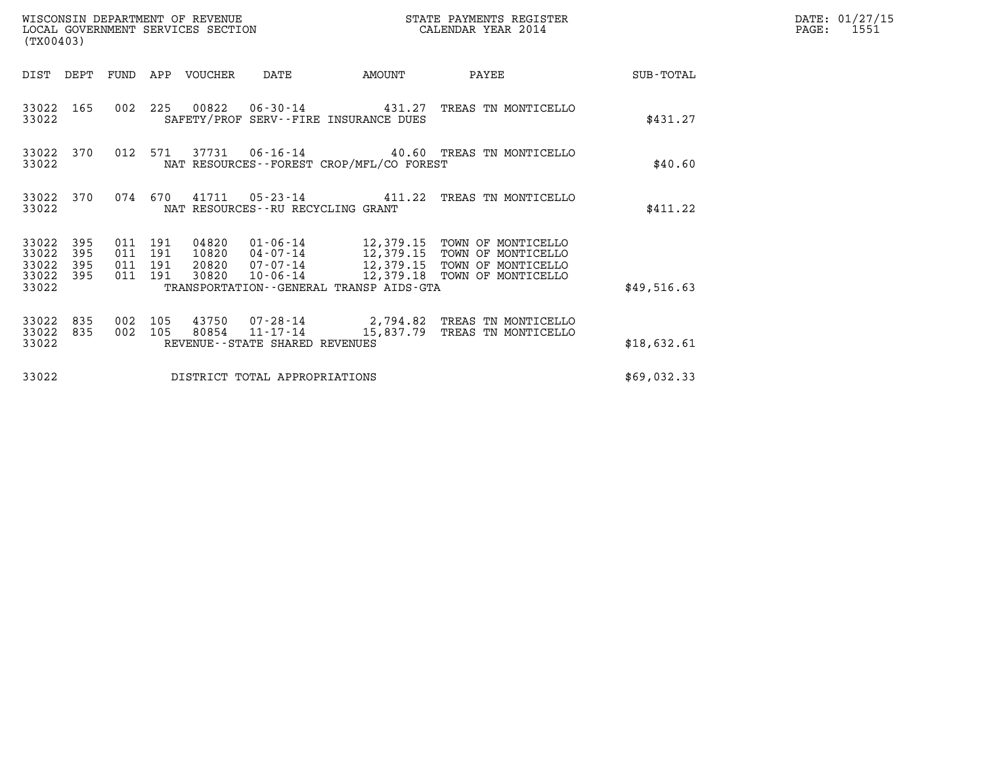| (TX00403)                                                             | WISCONSIN DEPARTMENT OF REVENUE<br>LOCAL GOVERNMENT SERVICES SECTION |                                  |                                   |                                              | STATE PAYMENTS REGISTER<br>CALENDAR YEAR 2014                                                                                                                    |             | DATE: 01/27/15<br>$\mathtt{PAGE}$ :<br>1551 |
|-----------------------------------------------------------------------|----------------------------------------------------------------------|----------------------------------|-----------------------------------|----------------------------------------------|------------------------------------------------------------------------------------------------------------------------------------------------------------------|-------------|---------------------------------------------|
| DIST DEPT                                                             | FUND APP VOUCHER                                                     |                                  | DATE                              | AMOUNT                                       | PAYEE                                                                                                                                                            | SUB-TOTAL   |                                             |
| 33022 165<br>33022                                                    |                                                                      |                                  |                                   | SAFETY/PROF SERV--FIRE INSURANCE DUES        | 002 225 00822 06-30-14 431.27 TREAS TN MONTICELLO                                                                                                                | \$431.27    |                                             |
| 33022 370<br>33022                                                    | 012 571                                                              |                                  |                                   | NAT RESOURCES - - FOREST CROP/MFL/CO FOREST  | 37731  06-16-14  40.60  TREAS TN MONTICELLO                                                                                                                      | \$40.60     |                                             |
| 33022 370<br>33022                                                    | 074 670                                                              |                                  | NAT RESOURCES--RU RECYCLING GRANT |                                              | 41711  05-23-14  411.22  TREAS TN MONTICELLO                                                                                                                     | \$411.22    |                                             |
| 33022<br>395<br>33022<br>395<br>33022<br>395<br>33022<br>395<br>33022 | 011 191<br>011 191<br>011 191<br>011 191                             | 04820<br>10820<br>20820<br>30820 |                                   | TRANSPORTATION - - GENERAL TRANSP AIDS - GTA | 01-06-14 12,379.15 TOWN OF MONTICELLO<br>04-07-14 12,379.15 TOWN OF MONTICELLO<br>07-07-14 12,379.15 TOWN OF MONTICELLO<br>10-06-14 12,379.18 TOWN OF MONTICELLO | \$49,516.63 |                                             |
| 33022<br>835<br>835<br>33022<br>33022                                 | 002<br>105<br>002 105                                                | 80854                            | REVENUE--STATE SHARED REVENUES    |                                              | 43750 07-28-14 2,794.82 TREAS TN MONTICELLO<br>11-17-14 15,837.79 TREAS TN MONTICELLO                                                                            | \$18,632.61 |                                             |
| 33022                                                                 |                                                                      |                                  | DISTRICT TOTAL APPROPRIATIONS     |                                              |                                                                                                                                                                  | \$69,032.33 |                                             |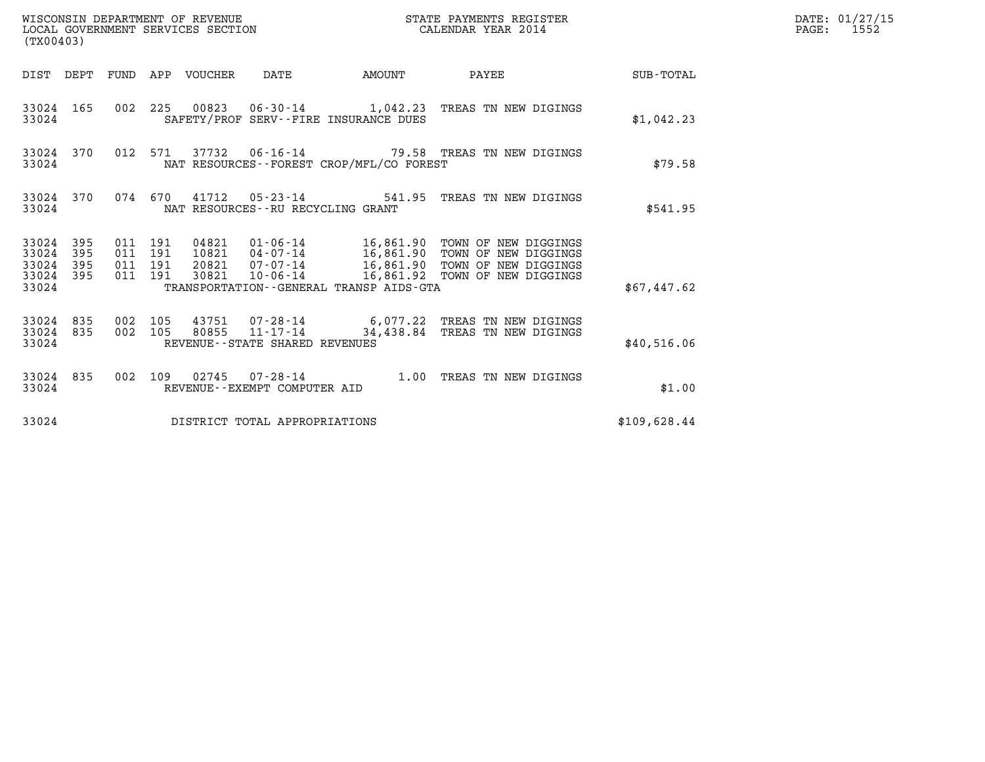| (TX00403)                                                       | WISCONSIN DEPARTMENT OF REVENUE<br>LOCAL GOVERNMENT SERVICES SECTION                                                                                                                                                                                                                               | STATE PAYMENTS REGISTER<br>CALENDAR YEAR 2014 |              | DATE: 01/27/15<br>$\mathtt{PAGE:}$<br>1552 |
|-----------------------------------------------------------------|----------------------------------------------------------------------------------------------------------------------------------------------------------------------------------------------------------------------------------------------------------------------------------------------------|-----------------------------------------------|--------------|--------------------------------------------|
|                                                                 | DIST DEPT FUND APP VOUCHER DATE<br>AMOUNT                                                                                                                                                                                                                                                          | PAYEE SUB-TOTAL                               |              |                                            |
| 33024 165<br>33024                                              | 002 225 00823 06-30-14 1,042.23 TREAS TN NEW DIGINGS<br>SAFETY/PROF SERV--FIRE INSURANCE DUES                                                                                                                                                                                                      |                                               | \$1,042.23   |                                            |
| 33024 370<br>33024                                              | 012 571<br>NAT RESOURCES--FOREST CROP/MFL/CO FOREST                                                                                                                                                                                                                                                |                                               | \$79.58      |                                            |
| 33024 370<br>33024                                              | 074 670 41712 05-23-14 541.95 TREAS TN NEW DIGINGS<br>NAT RESOURCES - - RU RECYCLING GRANT                                                                                                                                                                                                         |                                               | \$541.95     |                                            |
| 33024 395<br>33024<br>395<br>33024<br>395<br>33024 395<br>33024 | 011 191<br>04821  01-06-14   16,861.90  TOWN OF NEW DIGGINGS<br>10821  04-07-14   16,861.90  TOWN OF NEW DIGGINGS<br>011 191<br>20821 07-07-14 16,861.90 TOWN OF NEW DIGGINGS<br>011 191<br>10-06-14 16,861.92 TOWN OF NEW DIGGINGS<br>011 191<br>30821<br>TRANSPORTATION--GENERAL TRANSP AIDS-GTA |                                               | \$67,447.62  |                                            |
| 33024 835<br>33024 835<br>33024                                 | 002 105<br>43751  07-28-14  6,077.22  TREAS TN NEW DIGINGS<br>$80855$ $11 - 17 - 14$<br>002 105<br>REVENUE - - STATE SHARED REVENUES                                                                                                                                                               | 34,438.84 TREAS TN NEW DIGINGS                | \$40,516.06  |                                            |
| 33024 835<br>33024                                              | 002 109 02745 07-28-14 1.00 TREAS TN NEW DIGINGS<br>REVENUE--EXEMPT COMPUTER AID                                                                                                                                                                                                                   |                                               | \$1.00       |                                            |
| 33024                                                           | DISTRICT TOTAL APPROPRIATIONS                                                                                                                                                                                                                                                                      |                                               | \$109,628.44 |                                            |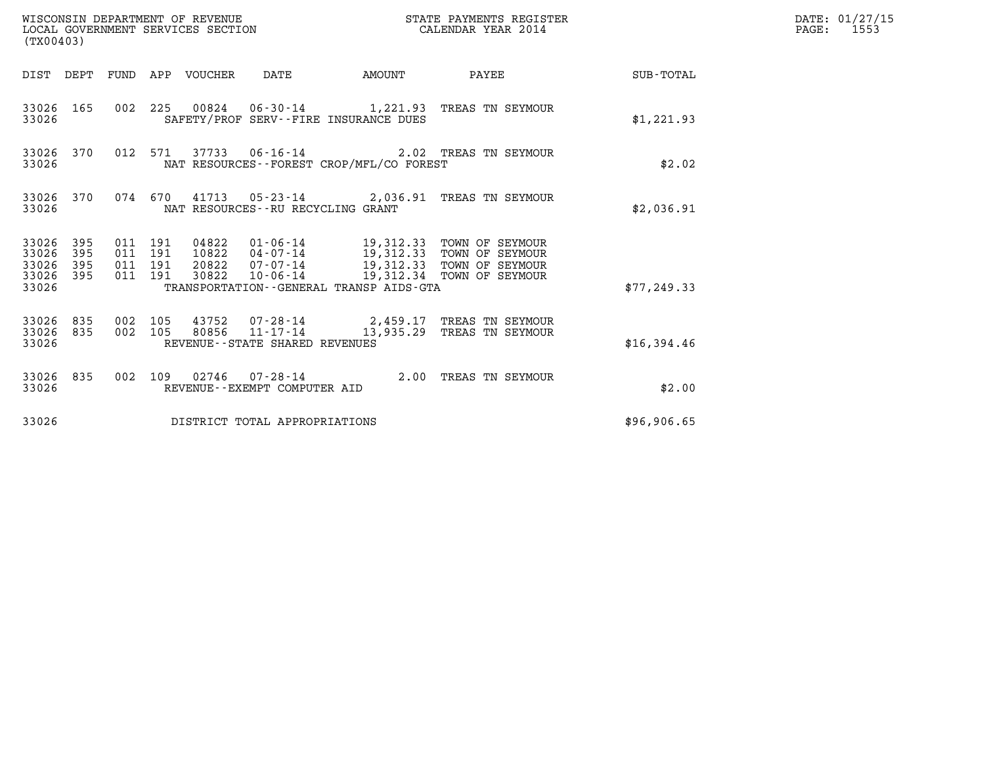| (TX00403)                                         |            |                                          |       |                                       |                                             |                                                                                                                                                                                          |                                                    | DATE: 01/27/15<br>PAGE: 1553 |
|---------------------------------------------------|------------|------------------------------------------|-------|---------------------------------------|---------------------------------------------|------------------------------------------------------------------------------------------------------------------------------------------------------------------------------------------|----------------------------------------------------|------------------------------|
|                                                   |            |                                          |       |                                       |                                             |                                                                                                                                                                                          | DIST DEPT FUND APP VOUCHER DATE AMOUNT PAYEE TOTAL |                              |
| 33026 165<br>33026                                |            |                                          |       | SAFETY/PROF SERV--FIRE INSURANCE DUES |                                             | 002 225 00824 06-30-14 1,221.93 TREAS TN SEYMOUR                                                                                                                                         | \$1,221.93                                         |                              |
| 33026 370<br>33026                                |            |                                          |       |                                       | NAT RESOURCES - - FOREST CROP/MFL/CO FOREST | 012 571 37733 06-16-14 2.02 TREAS TN SEYMOUR                                                                                                                                             | \$2.02                                             |                              |
| 33026                                             |            |                                          |       | NAT RESOURCES--RU RECYCLING GRANT     |                                             | 33026 370 074 670 41713 05-23-14 2,036.91 TREAS TN SEYMOUR                                                                                                                               | \$2,036.91                                         |                              |
| 33026 395<br>33026<br>33026<br>33026 395<br>33026 | 395<br>395 | 011 191<br>011 191<br>011 191<br>011 191 | 30822 |                                       | TRANSPORTATION--GENERAL TRANSP AIDS-GTA     | 04822   01-06-14   19,312.33   TOWN OF SEYMOUR<br>10822   04-07-14   19,312.33   TOWN OF SEYMOUR<br>20822   07-07-14   19,312.33   TOWN OF SEYMOUR<br>10-06-14 19,312.34 TOWN OF SEYMOUR | \$77,249.33                                        |                              |
| 33026 835 002 105<br>33026 835<br>33026           |            |                                          |       | REVENUE--STATE SHARED REVENUES        |                                             | 002 105 43752 07-28-14 2,459.17 TREAS TN SEYMOUR<br>002 105 80856 11-17-14 13,935.29 TREAS TN SEYMOUR                                                                                    | \$16,394.46                                        |                              |
| 33026                                             |            |                                          |       | REVENUE--EXEMPT COMPUTER AID          |                                             | 33026 835 002 109 02746 07-28-14 2.00 TREAS TN SEYMOUR                                                                                                                                   | \$2.00                                             |                              |
| 33026                                             |            |                                          |       | DISTRICT TOTAL APPROPRIATIONS         |                                             |                                                                                                                                                                                          | \$96,906.65                                        |                              |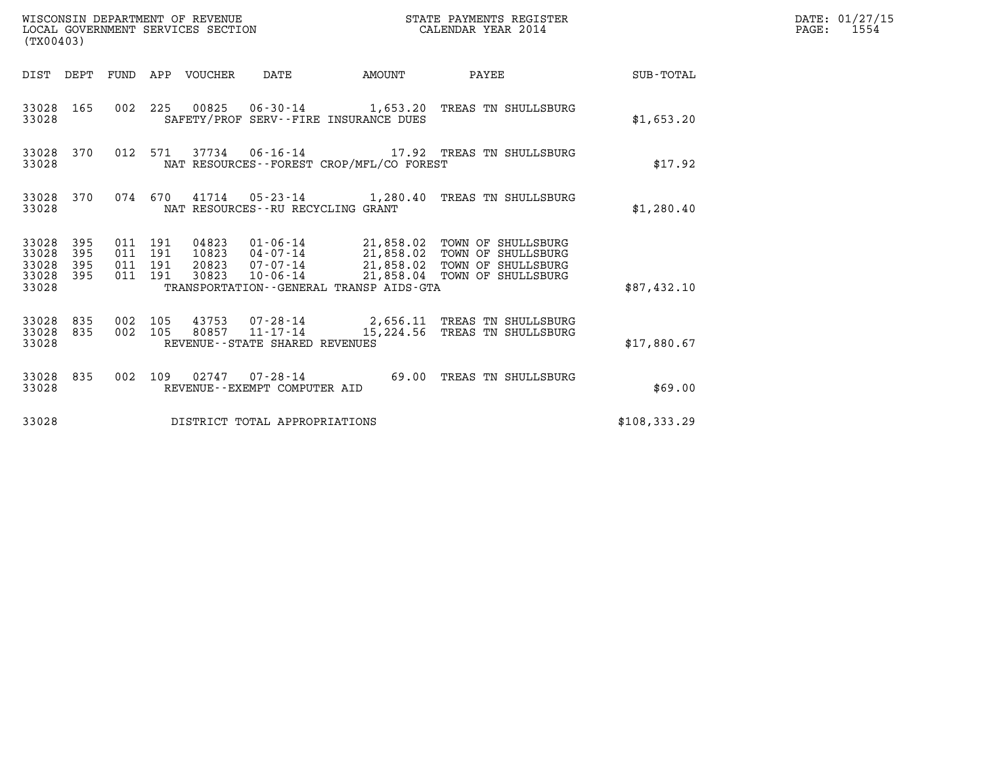| (TX00403)                                 |                            |                                          |                                 | WISCONSIN DEPARTMENT OF REVENUE<br>LOCAL GOVERNMENT SERVICES SECTION |                                          | STATE PAYMENTS REGISTER<br>CALENDAR YEAR 2014                                                                                                                                               |              | DATE: 01/27/15<br>PAGE: 1554 |
|-------------------------------------------|----------------------------|------------------------------------------|---------------------------------|----------------------------------------------------------------------|------------------------------------------|---------------------------------------------------------------------------------------------------------------------------------------------------------------------------------------------|--------------|------------------------------|
|                                           |                            |                                          | DIST DEPT FUND APP VOUCHER DATE |                                                                      |                                          | AMOUNT PAYEE SUB-TOTAL                                                                                                                                                                      |              |                              |
| 33028 165<br>33028                        |                            |                                          |                                 |                                                                      | SAFETY/PROF SERV--FIRE INSURANCE DUES    | 002 225 00825 06-30-14 1,653.20 TREAS TN SHULLSBURG                                                                                                                                         | \$1,653.20   |                              |
| 33028                                     | 33028 370                  |                                          |                                 |                                                                      | NAT RESOURCES--FOREST CROP/MFL/CO FOREST | 012 571 37734 06-16-14 17.92 TREAS TN SHULLSBURG                                                                                                                                            | \$17.92      |                              |
| 33028                                     | 33028 370                  |                                          |                                 | NAT RESOURCES - - RU RECYCLING GRANT                                 |                                          | 074 670 41714 05-23-14 1,280.40 TREAS TN SHULLSBURG                                                                                                                                         | \$1,280.40   |                              |
| 33028<br>33028<br>33028<br>33028<br>33028 | - 395<br>395<br>395<br>395 | 011 191<br>011 191<br>011 191<br>011 191 | 30823                           |                                                                      | TRANSPORTATION--GENERAL TRANSP AIDS-GTA  | 04823  01-06-14  21,858.02  TOWN OF SHULLSBURG<br>10823  04-07-14  21,858.02  TOWN OF SHULLSBURG<br>20823  07-07-14  21,858.02  TOWN OF SHULLSBURG<br>10-06-14 21,858.04 TOWN OF SHULLSBURG | \$87,432.10  |                              |
| 33028 835<br>33028 835<br>33028           |                            | 002 105<br>002 105                       |                                 | $80857$ $11 - 17 - 14$<br>REVENUE--STATE SHARED REVENUES             |                                          | 43753  07-28-14  2,656.11  TREAS TN SHULLSBURG<br>15,224.56 TREAS TN SHULLSBURG                                                                                                             | \$17,880.67  |                              |
| 33028                                     | 33028 835                  |                                          |                                 | REVENUE--EXEMPT COMPUTER AID                                         |                                          | 002 109 02747 07-28-14 69.00 TREAS TN SHULLSBURG                                                                                                                                            | \$69.00      |                              |
| 33028                                     |                            |                                          |                                 | DISTRICT TOTAL APPROPRIATIONS                                        |                                          |                                                                                                                                                                                             | \$108,333.29 |                              |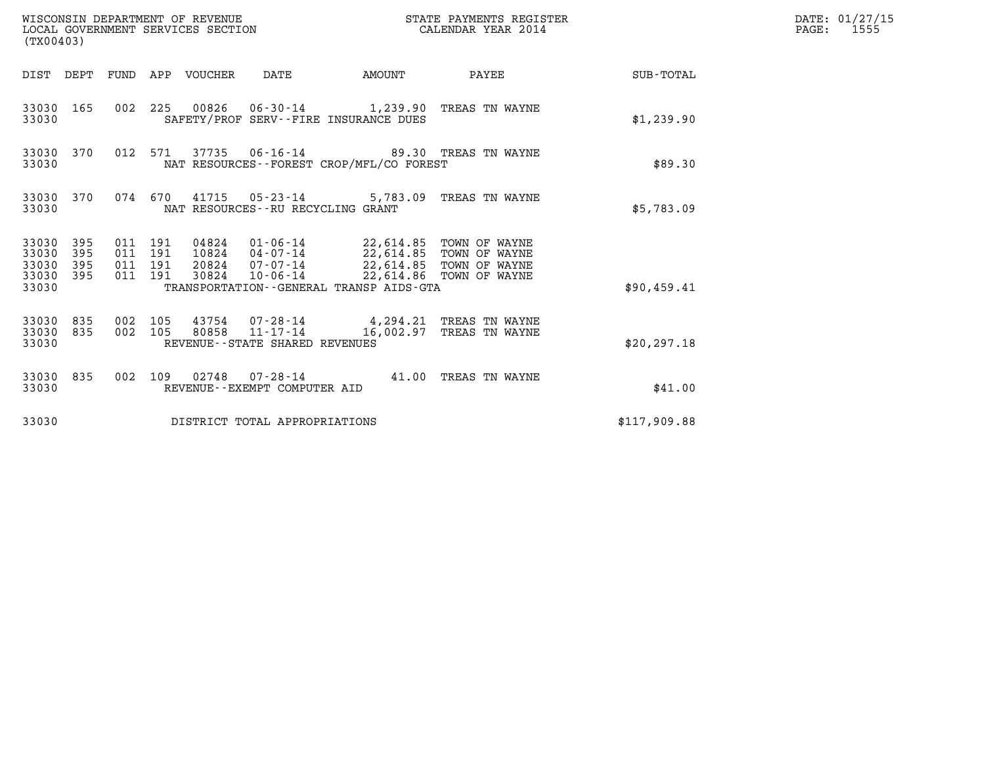| (TX00403)                                         |            |                    |                    | WISCONSIN DEPARTMENT OF REVENUE<br>LOCAL GOVERNMENT SERVICES SECTION |                                                                |                                                                                                                                                                            | STATE PAYMENTS REGISTER<br>CALENDAR YEAR 2014 |                 | DATE: 01/27/15<br>$\mathtt{PAGE:}$<br>1555 |
|---------------------------------------------------|------------|--------------------|--------------------|----------------------------------------------------------------------|----------------------------------------------------------------|----------------------------------------------------------------------------------------------------------------------------------------------------------------------------|-----------------------------------------------|-----------------|--------------------------------------------|
|                                                   |            |                    |                    | DIST DEPT FUND APP VOUCHER DATE                                      |                                                                | AMOUNT                                                                                                                                                                     |                                               | PAYEE SUB-TOTAL |                                            |
| 33030 165<br>33030                                |            |                    |                    |                                                                      |                                                                | 002 225 00826 06-30-14 1,239.90 TREAS TN WAYNE<br>SAFETY/PROF SERV--FIRE INSURANCE DUES                                                                                    |                                               | \$1,239.90      |                                            |
| 33030 370<br>33030                                |            |                    | 012 571            |                                                                      |                                                                | 37735 06-16-14 89.30 TREAS TN WAYNE<br>NAT RESOURCES--FOREST CROP/MFL/CO FOREST                                                                                            |                                               | \$89.30         |                                            |
| 33030                                             | 33030 370  |                    |                    |                                                                      | 074 670 41715 05-23-14<br>NAT RESOURCES - - RU RECYCLING GRANT |                                                                                                                                                                            | 5,783.09 TREAS TN WAYNE                       | \$5,783.09      |                                            |
| 33030 395<br>33030<br>33030<br>33030 395<br>33030 | 395<br>395 | 011 191<br>011 191 | 011 191<br>011 191 | 30824                                                                | 20824 07-07-14                                                 | 04824  01-06-14  22,614.85  TOWN OF WAYNE<br>10824  04-07-14  22,614.85  TOWN OF WAYNE<br>10-06-14 22,614.86 TOWN OF WAYNE<br>TRANSPORTATION - - GENERAL TRANSP AIDS - GTA | 22,614.85 TOWN OF WAYNE                       | \$90.459.41     |                                            |
| 33030 835<br>33030 835<br>33030                   |            | 002 105<br>002 105 |                    |                                                                      | 80858 11-17-14<br>REVENUE--STATE SHARED REVENUES               | 43754 07-28-14 4,294.21 TREAS TN WAYNE                                                                                                                                     | 16,002.97 TREAS TN WAYNE                      | \$20, 297.18    |                                            |
| 33030                                             | 33030 835  |                    |                    |                                                                      | REVENUE--EXEMPT COMPUTER AID                                   | 002 109 02748 07-28-14 41.00 TREAS TN WAYNE                                                                                                                                |                                               | \$41.00         |                                            |
| 33030                                             |            |                    |                    |                                                                      | DISTRICT TOTAL APPROPRIATIONS                                  |                                                                                                                                                                            |                                               | \$117,909.88    |                                            |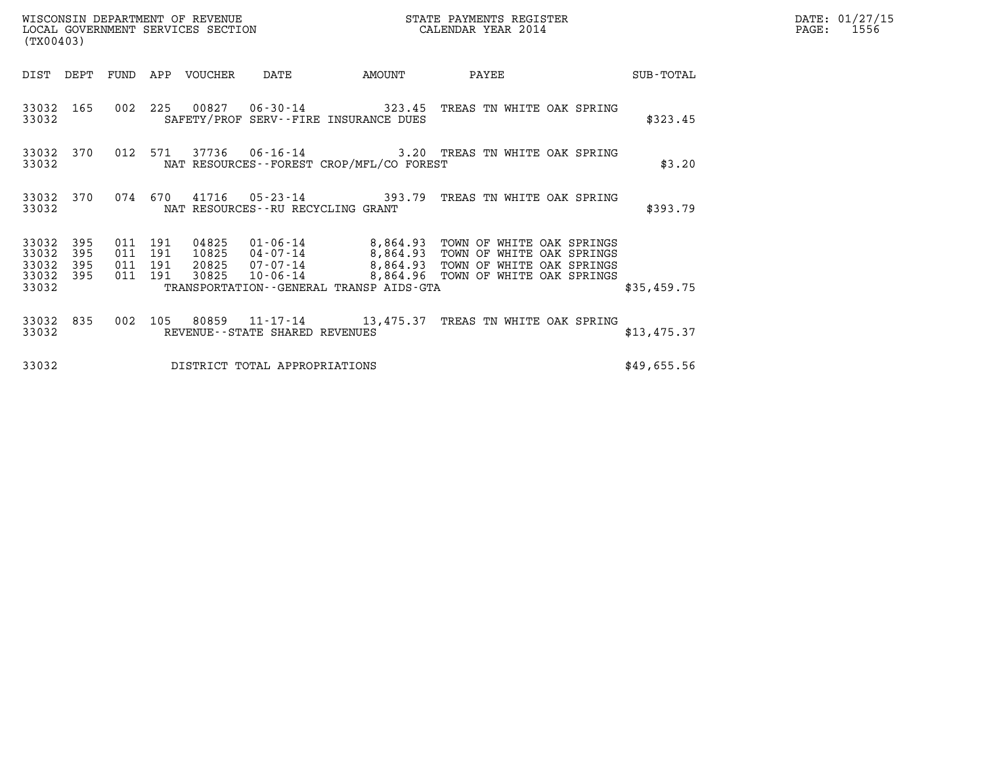| (TX00403)               |                   |                           |         | WISCONSIN DEPARTMENT OF REVENUE<br>LOCAL GOVERNMENT SERVICES SECTION |                                  |                                          | STATE PAYMENTS REGISTER<br>CALENDAR YEAR 2014                                                                                                       |           | DATE: 01/27/15<br>PAGE: 1556 |  |
|-------------------------|-------------------|---------------------------|---------|----------------------------------------------------------------------|----------------------------------|------------------------------------------|-----------------------------------------------------------------------------------------------------------------------------------------------------|-----------|------------------------------|--|
| DIST DEPT               |                   | FUND                      | APP     | VOUCHER                                                              | DATE                             | AMOUNT                                   | PAYEE                                                                                                                                               | SUB-TOTAL |                              |  |
| 33032                   |                   |                           |         |                                                                      | 33032 165 002 225 00827 06-30-14 | SAFETY/PROF SERV--FIRE INSURANCE DUES    | 323.45 TREAS TN WHITE OAK SPRING                                                                                                                    | \$323.45  |                              |  |
| 33032                   | 33032 370 012 571 |                           |         |                                                                      |                                  | NAT RESOURCES--FOREST CROP/MFL/CO FOREST | 37736  06-16-14  3.20  TREAS TN WHITE OAK SPRING                                                                                                    | \$3.20    |                              |  |
| 33032                   | 33032 370         |                           | 074 670 |                                                                      |                                  | NAT RESOURCES--RU RECYCLING GRANT        | 41716  05-23-14  393.79  TREAS TN WHITE OAK SPRING                                                                                                  | \$393.79  |                              |  |
| 33032<br>33032<br>33032 | 395<br>395<br>395 | 011 191<br>011 191<br>011 | 191     | 04825<br>10825<br>20825                                              | $07 - 07 - 14$                   | 8.864.93                                 | 01-06-14             8,864.93   TOWN OF WHITE OAK SPRINGS<br>04-07-14             8,864.93   TOWN OF WHITE OAK SPRINGS<br>TOWN OF WHITE OAK SPRINGS |           |                              |  |

33032 395 011 191 20825 07-07-14 8,864.93 TOWN OF WHITE OAK SPRINGS 33032 395 011 191 04825 01-06-14 8,864.93 TOWN OF WHITE OAK SPRINGS<br>33032 395 011 191 10825 04-07-14 8,864.93 TOWN OF WHITE OAK SPRINGS<br>33032 395 011 191 20825 10-06-14 8,864.96 TOWN OF WHITE OAK SPRINGS<br>33032 395 011 191 33032 395 011 191 10825 04-07-14 8,864.93 TOWN OF WHITE OAK SPRINGS<br>33032 395 011 191 20825 07-07-14 8,864.93 TOWN OF WHITE OAK SPRINGS<br>33032 395 011 191 30825 10-06-14 8,864.96 TOWN OF WHITE OAK SPRINGS<br>33032 33032 835 002 105 80859 11-17-14 13,475.37 TREAS TN WHITE OAK SPRING 33032 REVENUE--STATE SHARED REVENUES \$13,475.37

33032 DISTRICT TOTAL APPROPRIATIONS \$49,655.56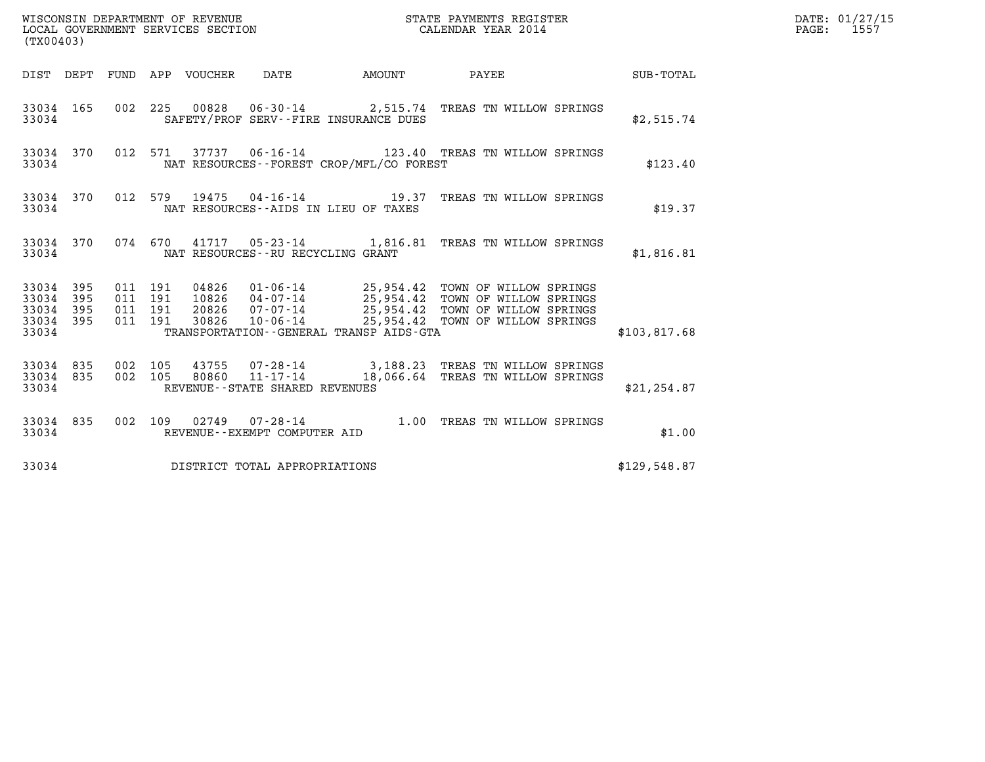| (TX00403)                                         |            |                                          |       |                                                     |                                                                                                                                                                                                                                                          |              | DATE: 01/27/15<br>$\mathtt{PAGE:}$<br>1557 |
|---------------------------------------------------|------------|------------------------------------------|-------|-----------------------------------------------------|----------------------------------------------------------------------------------------------------------------------------------------------------------------------------------------------------------------------------------------------------------|--------------|--------------------------------------------|
|                                                   |            |                                          |       |                                                     | DIST DEPT FUND APP VOUCHER DATE AMOUNT PAYEE TO SUB-TOTAL                                                                                                                                                                                                |              |                                            |
| 33034                                             |            |                                          |       | SAFETY/PROF SERV--FIRE INSURANCE DUES               | 33034 165 002 225 00828 06-30-14 2,515.74 TREAS TN WILLOW SPRINGS                                                                                                                                                                                        | \$2,515.74   |                                            |
| 33034 370<br>33034                                |            |                                          |       | NAT RESOURCES--FOREST CROP/MFL/CO FOREST            | 012 571 37737 06-16-14 123.40 TREAS TN WILLOW SPRINGS                                                                                                                                                                                                    | \$123.40     |                                            |
| 33034 370<br>33034                                |            |                                          |       | NAT RESOURCES--AIDS IN LIEU OF TAXES                | 012 579 19475 04-16-14 19.37 TREAS TN WILLOW SPRINGS                                                                                                                                                                                                     | \$19.37      |                                            |
| 33034                                             |            |                                          |       | NAT RESOURCES--RU RECYCLING GRANT                   | 33034 370 074 670 41717 05-23-14 1,816.81 TREAS TN WILLOW SPRINGS                                                                                                                                                                                        | \$1,816.81   |                                            |
| 33034 395<br>33034<br>33034<br>33034 395<br>33034 | 395<br>395 | 011 191<br>011 191<br>011 191<br>011 191 |       | TRANSPORTATION--GENERAL TRANSP AIDS-GTA             | 04826  01-06-14  25,954.42  TOWN OF WILLOW SPRINGS<br>10826  04-07-14  25,954.42  TOWN OF WILLOW SPRINGS<br>20826  07-07-14  25,954.42  TOWN OF WILLOW SPRINGS<br>30826  10-06-14  25,954.42  TOWN OF WILLOW SPRINGS<br>25,954.42 TOWN OF WILLOW SPRINGS | \$103,817.68 |                                            |
| 33034 835<br>33034 835<br>33034                   |            | 002 105<br>002 105                       | 80860 | $11 - 17 - 14$<br>REVENUE - - STATE SHARED REVENUES | 43755 07-28-14 3,188.23 TREAS TN WILLOW SPRINGS<br>18,066.64 TREAS TN WILLOW SPRINGS                                                                                                                                                                     | \$21, 254.87 |                                            |
| 33034 835<br>33034                                |            |                                          |       | REVENUE--EXEMPT COMPUTER AID                        | 002 109 02749 07-28-14 1.00 TREAS TN WILLOW SPRINGS                                                                                                                                                                                                      | \$1.00       |                                            |
| 33034                                             |            |                                          |       | DISTRICT TOTAL APPROPRIATIONS                       |                                                                                                                                                                                                                                                          | \$129,548.87 |                                            |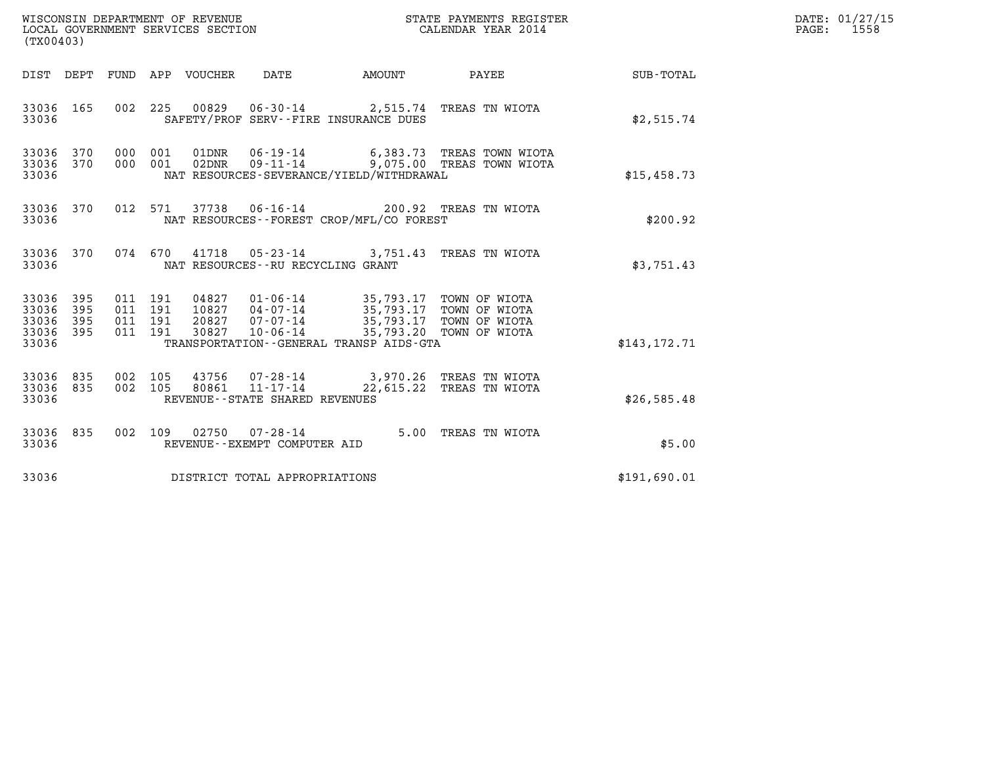| DATE: | 01/27/15 |
|-------|----------|
| PAGE: | 1558     |

| (TX00403)                                         |            |  |                                          |                                 |                                                        |                                                                                          |                                                                                                      |               | DATE: 01/27/15<br>$\mathtt{PAGE:}$<br>1558 |
|---------------------------------------------------|------------|--|------------------------------------------|---------------------------------|--------------------------------------------------------|------------------------------------------------------------------------------------------|------------------------------------------------------------------------------------------------------|---------------|--------------------------------------------|
|                                                   |            |  |                                          | DIST DEPT FUND APP VOUCHER DATE |                                                        |                                                                                          | AMOUNT PAYEE                                                                                         | SUB-TOTAL     |                                            |
| 33036 165<br>33036                                |            |  |                                          |                                 |                                                        | 002 225 00829 06-30-14 2,515.74 TREAS TN WIOTA<br>SAFETY/PROF SERV--FIRE INSURANCE DUES  |                                                                                                      | \$2,515.74    |                                            |
| 33036 370<br>33036 370<br>33036                   |            |  |                                          |                                 |                                                        | NAT RESOURCES-SEVERANCE/YIELD/WITHDRAWAL                                                 | 000 001 01DNR 06-19-14 6,383.73 TREAS TOWN WIOTA<br>000 001 02DNR 09-11-14 9,075.00 TREAS TOWN WIOTA | \$15,458.73   |                                            |
| 33036 370<br>33036                                |            |  |                                          |                                 |                                                        | 012 571 37738 06-16-14 200.92 TREAS TN WIOTA<br>NAT RESOURCES--FOREST CROP/MFL/CO FOREST |                                                                                                      | \$200.92      |                                            |
| 33036 370<br>33036                                |            |  |                                          |                                 |                                                        | 074 670 41718 05-23-14 3,751.43 TREAS TN WIOTA<br>NAT RESOURCES--RU RECYCLING GRANT      |                                                                                                      | \$3,751.43    |                                            |
| 33036<br>33036<br>33036 395<br>33036 395<br>33036 | 395<br>395 |  | 011 191<br>011 191<br>011 191<br>011 191 | 30827                           | $10 - 06 - 14$                                         | TRANSPORTATION--GENERAL TRANSP AIDS-GTA                                                  | 35,793.20 TOWN OF WIOTA                                                                              | \$143, 172.71 |                                            |
| 33036 835<br>33036 835<br>33036                   |            |  | 002 105                                  | 80861                           | $11 - 17 - 14$<br>REVENUE--STATE SHARED REVENUES       | 002 105 43756 07-28-14 3,970.26 TREAS TN WIOTA                                           | 22,615.22 TREAS TN WIOTA                                                                             | \$26,585.48   |                                            |
| 33036 835<br>33036                                |            |  |                                          |                                 | 002 109 02750 07-28-14<br>REVENUE--EXEMPT COMPUTER AID |                                                                                          | 5.00 TREAS TN WIOTA                                                                                  | \$5.00        |                                            |
| 33036                                             |            |  |                                          |                                 | DISTRICT TOTAL APPROPRIATIONS                          |                                                                                          |                                                                                                      | \$191,690.01  |                                            |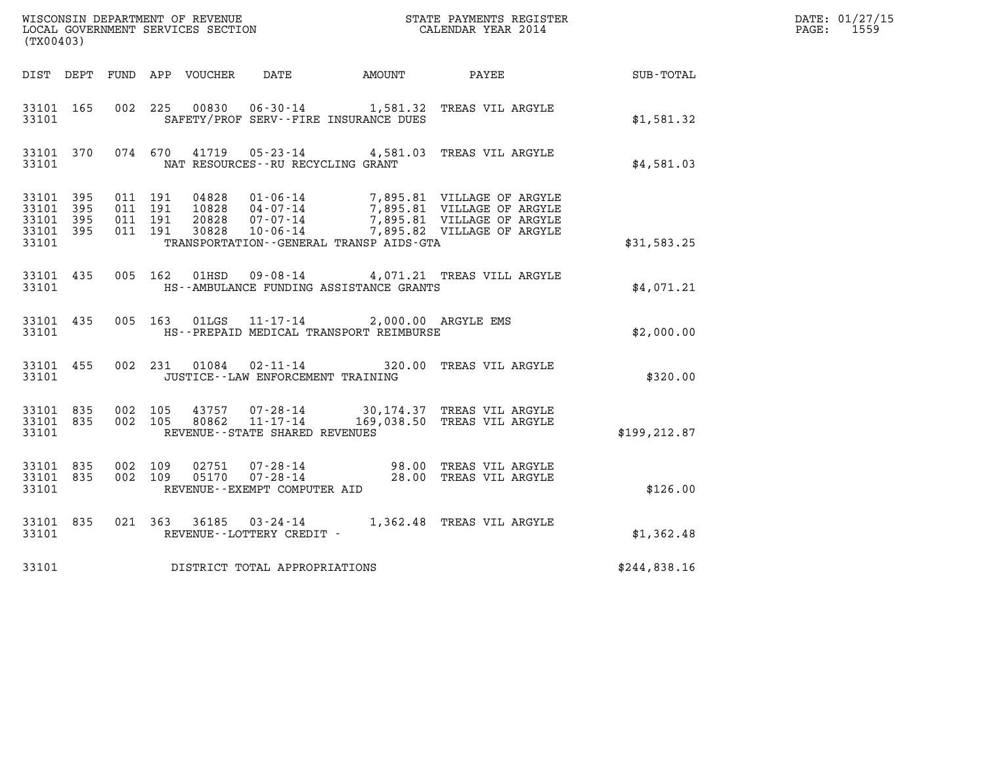| WISCONSIN DEPARTMENT OF REVENUE<br>LOCAL GOVERNMENT SERVICES SECTION<br>CALENDAR YEAR 2014<br>(TX00403) |  |                               |  |                |                                      |                                                                                                 |                                                                                                                                                                                              |               | DATE: 01/27/15<br>PAGE: 1559 |
|---------------------------------------------------------------------------------------------------------|--|-------------------------------|--|----------------|--------------------------------------|-------------------------------------------------------------------------------------------------|----------------------------------------------------------------------------------------------------------------------------------------------------------------------------------------------|---------------|------------------------------|
| DIST DEPT FUND APP VOUCHER DATE AMOUNT PAYEE TO SUB-TOTAL                                               |  |                               |  |                |                                      |                                                                                                 |                                                                                                                                                                                              |               |                              |
|                                                                                                         |  |                               |  |                |                                      |                                                                                                 |                                                                                                                                                                                              |               |                              |
| 33101 165<br>33101                                                                                      |  |                               |  |                |                                      | SAFETY/PROF SERV--FIRE INSURANCE DUES                                                           | 002 225 00830 06-30-14 1,581.32 TREAS VIL ARGYLE                                                                                                                                             | \$1,581.32    |                              |
| 33101                                                                                                   |  |                               |  |                | NAT RESOURCES--RU RECYCLING GRANT    |                                                                                                 | 33101 370 074 670 41719 05-23-14 4,581.03 TREAS VIL ARGYLE                                                                                                                                   | \$4,581.03    |                              |
| 33101 395                                                                                               |  | 011 191                       |  |                |                                      |                                                                                                 |                                                                                                                                                                                              |               |                              |
| 33101 395<br>33101 395<br>33101 395                                                                     |  | 011 191<br>011 191<br>011 191 |  |                |                                      |                                                                                                 | 04828  01-06-14  7,895.81  VILLAGE OF ARGYLE<br>10828  04-07-14  7,895.81  VILLAGE OF ARGYLE<br>20828  07-07-14  7,895.81  VILLAGE OF ARGYLE<br>30828  10-06-14  7,895.82  VILLAGE OF ARGYLE |               |                              |
| 33101                                                                                                   |  |                               |  |                |                                      | TRANSPORTATION--GENERAL TRANSP AIDS-GTA                                                         |                                                                                                                                                                                              | \$31,583.25   |                              |
|                                                                                                         |  |                               |  |                |                                      |                                                                                                 | 33101 435 005 162 01HSD 09-08-14 4,071.21 TREAS VILL ARGYLE                                                                                                                                  |               |                              |
| 33101                                                                                                   |  |                               |  |                |                                      | HS--AMBULANCE FUNDING ASSISTANCE GRANTS                                                         |                                                                                                                                                                                              | \$4,071.21    |                              |
| 33101                                                                                                   |  |                               |  |                |                                      | 33101 435 005 163 01LGS 11-17-14 2,000.00 ARGYLE EMS<br>HS--PREPAID MEDICAL TRANSPORT REIMBURSE |                                                                                                                                                                                              | \$2,000.00    |                              |
|                                                                                                         |  |                               |  |                |                                      |                                                                                                 |                                                                                                                                                                                              |               |                              |
| 33101                                                                                                   |  |                               |  |                | JUSTICE - - LAW ENFORCEMENT TRAINING |                                                                                                 | 33101 455 002 231 01084 02-11-14 320.00 TREAS VIL ARGYLE                                                                                                                                     | \$320.00      |                              |
|                                                                                                         |  |                               |  |                |                                      |                                                                                                 |                                                                                                                                                                                              |               |                              |
| 33101 835<br>33101 835<br>33101                                                                         |  | 002 105                       |  |                | REVENUE--STATE SHARED REVENUES       |                                                                                                 | 43757 07-28-14 30,174.37 TREAS VIL ARGYLE<br>002 105 80862 11-17-14 169,038.50 TREAS VIL ARGYLE                                                                                              | \$199, 212.87 |                              |
|                                                                                                         |  |                               |  |                |                                      |                                                                                                 |                                                                                                                                                                                              |               |                              |
| 33101 835<br>33101 835                                                                                  |  | 002 109<br>002 109            |  | 02751<br>05170 |                                      |                                                                                                 | 07-28-14 98.00 TREAS VIL ARGYLE<br>07-28-14 28.00 TREAS VIL ARGYLE                                                                                                                           |               |                              |
| 33101                                                                                                   |  |                               |  |                | REVENUE--EXEMPT COMPUTER AID         |                                                                                                 |                                                                                                                                                                                              | \$126.00      |                              |
| 33101 835<br>33101                                                                                      |  |                               |  |                | REVENUE--LOTTERY CREDIT -            |                                                                                                 | 021 363 36185 03-24-14 1,362.48 TREAS VIL ARGYLE                                                                                                                                             | \$1,362.48    |                              |
|                                                                                                         |  |                               |  |                |                                      |                                                                                                 |                                                                                                                                                                                              |               |                              |
| 33101                                                                                                   |  |                               |  |                | DISTRICT TOTAL APPROPRIATIONS        |                                                                                                 |                                                                                                                                                                                              | \$244,838.16  |                              |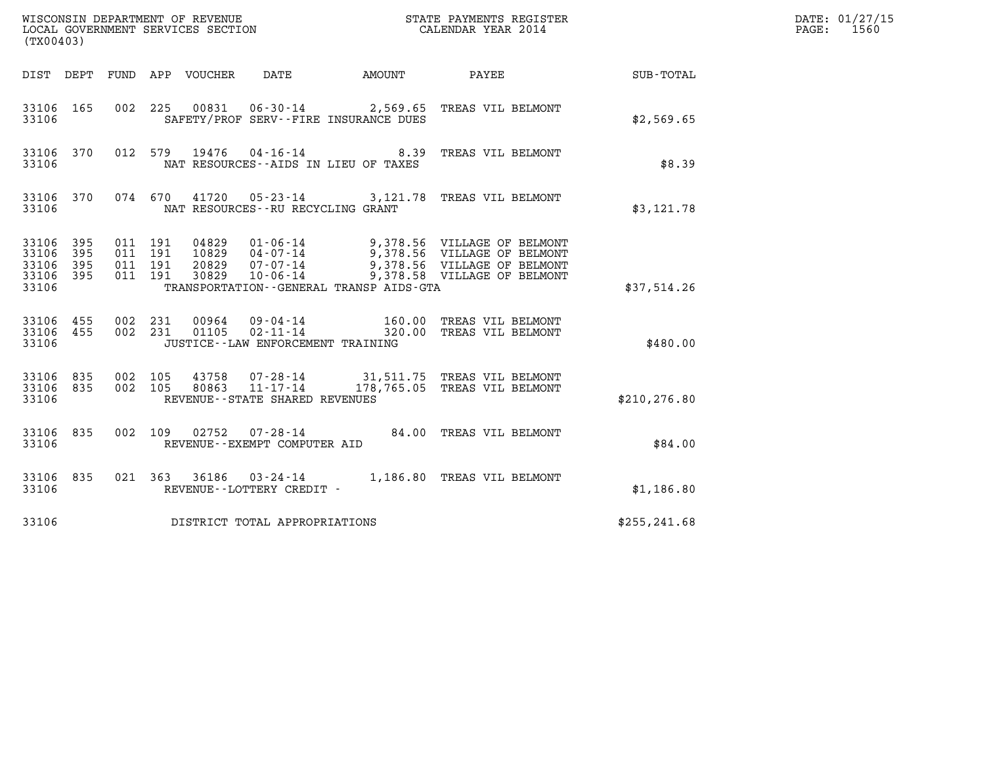| (TX00403)                                 |                            |                    |                    |                                  |                                                                                                                 |                  |                                                                                                                          |               | DATE: 01/27/15<br>1560<br>PAGE: |
|-------------------------------------------|----------------------------|--------------------|--------------------|----------------------------------|-----------------------------------------------------------------------------------------------------------------|------------------|--------------------------------------------------------------------------------------------------------------------------|---------------|---------------------------------|
| DIST DEPT                                 |                            |                    | FUND APP VOUCHER   |                                  | DATE                                                                                                            |                  | AMOUNT PAYEE                                                                                                             | SUB-TOTAL     |                                 |
| 33106 165<br>33106                        |                            | 002                | 225                |                                  | SAFETY/PROF SERV--FIRE INSURANCE DUES                                                                           |                  | 00831  06-30-14  2,569.65  TREAS VIL BELMONT                                                                             | \$2,569.65    |                                 |
| 33106 370<br>33106                        |                            |                    | 012 579            | 19476                            | $04 - 16 - 14$ 8.39<br>NAT RESOURCES--AIDS IN LIEU OF TAXES                                                     |                  | TREAS VIL BELMONT                                                                                                        | \$8.39        |                                 |
| 33106 370<br>33106                        |                            |                    | 074 670            | 41720                            | NAT RESOURCES--RU RECYCLING GRANT                                                                               |                  | 05-23-14 3,121.78 TREAS VIL BELMONT                                                                                      | \$3,121.78    |                                 |
| 33106<br>33106<br>33106<br>33106<br>33106 | 395<br>395<br>395<br>- 395 | 011 191<br>011 191 | 011 191<br>011 191 | 04829<br>10829<br>20829<br>30829 | $01 - 06 - 14$<br>$04 - 07 - 14$<br>$07 - 07 - 14$<br>$10 - 06 - 14$<br>TRANSPORTATION--GENERAL TRANSP AIDS-GTA |                  | 9,378.56 VILLAGE OF BELMONT<br>9,378.56 VILLAGE OF BELMONT<br>9,378.56 VILLAGE OF BELMONT<br>9,378.58 VILLAGE OF BELMONT | \$37,514.26   |                                 |
| 33106 455<br>33106<br>33106               | 455                        |                    | 002 231<br>002 231 | 00964<br>01105                   | 09-04-14<br>$02 - 11 - 14$<br>JUSTICE - - LAW ENFORCEMENT TRAINING                                              | 160.00<br>320.00 | TREAS VIL BELMONT<br>TREAS VIL BELMONT                                                                                   | \$480.00      |                                 |
| 33106<br>33106 835<br>33106               | 835                        |                    | 002 105<br>002 105 | 43758<br>80863                   | $11 - 17 - 14$<br>REVENUE--STATE SHARED REVENUES                                                                |                  | 07-28-14 31,511.75 TREAS VIL BELMONT<br>178,765.05 TREAS VIL BELMONT                                                     | \$210, 276.80 |                                 |
| 33106 835<br>33106                        |                            |                    | 002 109            | 02752                            | 07-28-14<br>REVENUE--EXEMPT COMPUTER AID                                                                        |                  | 84.00 TREAS VIL BELMONT                                                                                                  | \$84.00       |                                 |
| 33106 835<br>33106                        |                            |                    |                    |                                  | REVENUE--LOTTERY CREDIT -                                                                                       |                  | 021  363  36186  03-24-14   1,186.80 TREAS VIL BELMONT                                                                   | \$1,186.80    |                                 |
| 33106                                     |                            |                    |                    |                                  | DISTRICT TOTAL APPROPRIATIONS                                                                                   |                  |                                                                                                                          | \$255, 241.68 |                                 |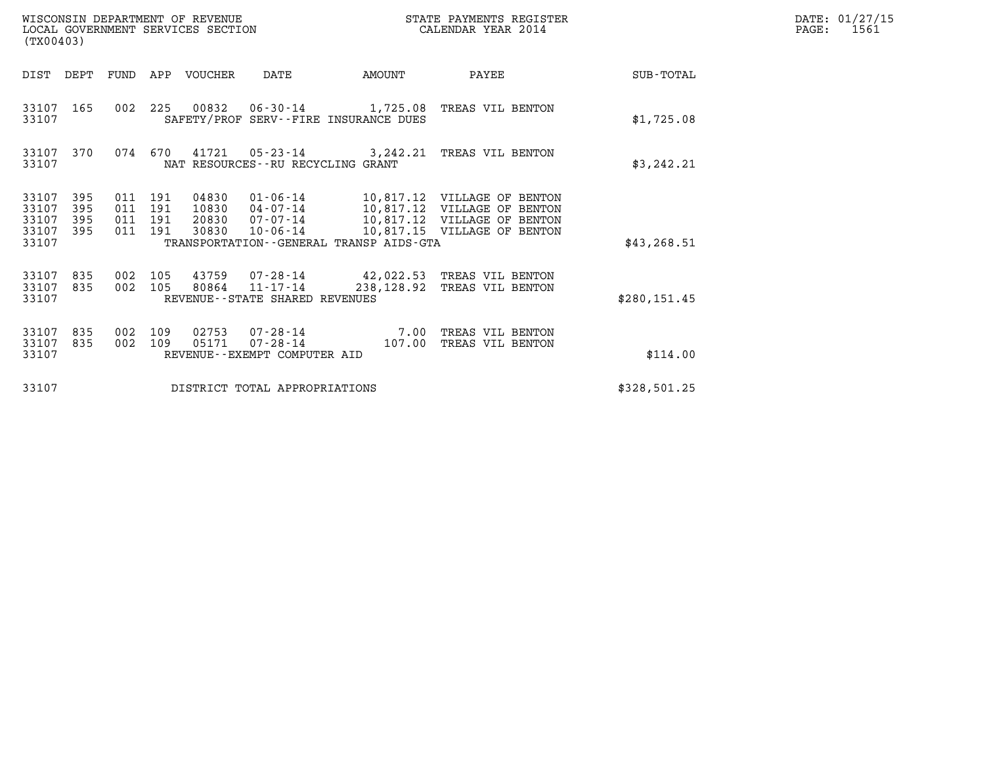| (TX00403)                                                             |                                  | WISCONSIN DEPARTMENT OF REVENUE<br>LOCAL GOVERNMENT SERVICES SECTION |                                                      |                | STATE PAYMENTS REGISTER<br>CALENDAR YEAR 2014                                                                                                                           |               | DATE: 01/27/15<br>$\mathtt{PAGE:}$<br>1561 |
|-----------------------------------------------------------------------|----------------------------------|----------------------------------------------------------------------|------------------------------------------------------|----------------|-------------------------------------------------------------------------------------------------------------------------------------------------------------------------|---------------|--------------------------------------------|
| DIST DEPT FUND APP VOUCHER                                            |                                  |                                                                      | DATE                                                 | AMOUNT         | PAYEE                                                                                                                                                                   | SUB-TOTAL     |                                            |
| 33107 165<br>33107                                                    |                                  |                                                                      | SAFETY/PROF SERV--FIRE INSURANCE DUES                |                | 002 225 00832 06-30-14 1,725.08 TREAS VIL BENTON                                                                                                                        | \$1,725.08    |                                            |
| 33107 370<br>33107                                                    | 074 670                          |                                                                      | NAT RESOURCES--RU RECYCLING GRANT                    |                | 41721  05-23-14  3,242.21 TREAS VIL BENTON                                                                                                                              | \$3,242.21    |                                            |
| 33107<br>395<br>33107<br>395<br>33107<br>395<br>33107<br>395<br>33107 | 011 191<br>011<br>011<br>011 191 | 04830<br>191<br>191<br>30830                                         | 10-06-14<br>TRANSPORTATION--GENERAL TRANSP AIDS-GTA  |                | 01-06-14 10,817.12 VILLAGE OF BENTON<br>10830  04-07-14  10,817.12  VILLAGE OF BENTON<br>20830  07-07-14   10,817.12   VILLAGE OF BENTON<br>10,817.15 VILLAGE OF BENTON | \$43, 268.51  |                                            |
| 33107<br>835<br>33107<br>835<br>33107                                 | 002<br>002 105                   | 105<br>43759<br>80864                                                | $11 - 17 - 14$<br>REVENUE - - STATE SHARED REVENUES  |                | 07-28-14 42,022.53 TREAS VIL BENTON<br>238,128.92 TREAS VIL BENTON                                                                                                      | \$280, 151.45 |                                            |
| 33107<br>835<br>33107<br>835<br>33107                                 | 002<br>002                       | 109<br>02753<br>109<br>05171                                         | 07-28-14<br>07-28-14<br>REVENUE--EXEMPT COMPUTER AID | 7.00<br>107.00 | TREAS VIL BENTON<br>TREAS VIL BENTON                                                                                                                                    | \$114.00      |                                            |
| 33107                                                                 |                                  |                                                                      | DISTRICT TOTAL APPROPRIATIONS                        |                |                                                                                                                                                                         | \$328,501.25  |                                            |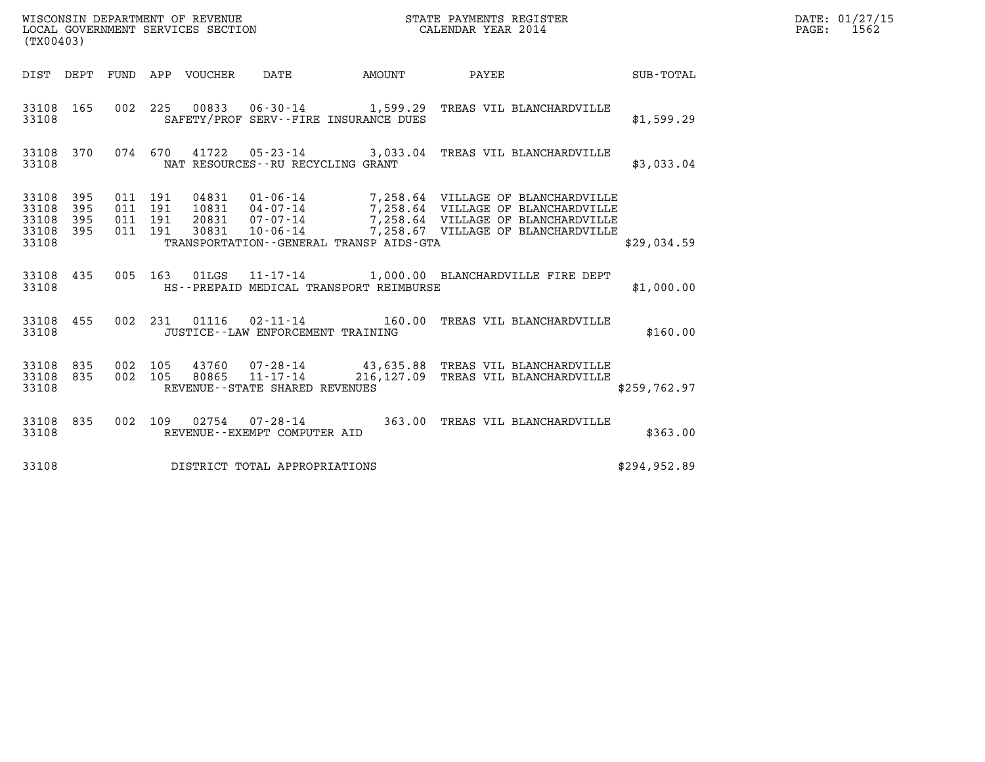| WISCONSIN DEPARTMENT OF REVENUE<br>LOCAL GOVERNMENT SERVICES SECTION | STATE PAYMENTS REGISTER<br>CALENDAR YEAR 2014 | DATE: 01/27/15<br>1562<br>PAGE: |
|----------------------------------------------------------------------|-----------------------------------------------|---------------------------------|

| (TX00403)                                                             |                          |                                                                                                                                                                                                                                                                                                                                                                   |              |
|-----------------------------------------------------------------------|--------------------------|-------------------------------------------------------------------------------------------------------------------------------------------------------------------------------------------------------------------------------------------------------------------------------------------------------------------------------------------------------------------|--------------|
| DIST<br>DEPT                                                          | FUND                     | VOUCHER<br>DATE<br>APP<br>AMOUNT<br>PAYEE                                                                                                                                                                                                                                                                                                                         | SUB-TOTAL    |
| 165<br>33108<br>33108                                                 | 002                      | 225<br>00833 06-30-14 1,599.29<br>TREAS VIL BLANCHARDVILLE<br>SAFETY/PROF SERV--FIRE INSURANCE DUES                                                                                                                                                                                                                                                               | \$1,599.29   |
| 33108<br>370<br>33108                                                 | 074                      | 41722<br>670<br>$05 - 23 - 14$ 3,033.04<br>TREAS VIL BLANCHARDVILLE<br>NAT RESOURCES - - RU RECYCLING GRANT                                                                                                                                                                                                                                                       | \$3,033.04   |
| 395<br>33108<br>395<br>33108<br>33108<br>395<br>33108<br>395<br>33108 | 011<br>011<br>011<br>011 | 04831<br>01-06-14<br>7,258.64 VILLAGE OF BLANCHARDVILLE<br>191<br>7,258.64 VILLAGE OF BLANCHARDVILLE<br>7,258.64 VILLAGE OF BLANCHARDVILLE<br>191<br>10831<br>$04 - 07 - 14$<br>191<br>20831<br>7,258.64 VILLAGE OF BLANCHARDVILLE<br>$07 - 07 - 14$<br>7,258.67 VILLAGE OF BLANCHARDVILLE<br>191<br>30831<br>10-06-14<br>TRANSPORTATION--GENERAL TRANSP AIDS-GTA | \$29,034.59  |
| 435<br>33108<br>33108                                                 | 005                      | 163<br>01LGS  11-17-14  1,000.00 BLANCHARDVILLE FIRE DEPT<br>HS--PREPAID MEDICAL TRANSPORT REIMBURSE                                                                                                                                                                                                                                                              | \$1,000.00   |
| 455<br>33108<br>33108                                                 | 002                      | 231<br>01116<br>$02 - 11 - 14$<br>160.00<br>TREAS VIL BLANCHARDVILLE<br>JUSTICE - - LAW ENFORCEMENT TRAINING                                                                                                                                                                                                                                                      | \$160.00     |
| 33108<br>835<br>835<br>33108<br>33108                                 | 002<br>002               | 105<br>43760  07-28-14  43,635.88  TREAS VIL BLANCHARDVILLE<br>216,127.09<br>105<br>80865<br>$11 - 17 - 14$<br>TREAS VIL BLANCHARDVILLE<br>REVENUE - - STATE SHARED REVENUES                                                                                                                                                                                      | \$259,762.97 |
| 835<br>33108<br>33108                                                 | 002                      | 363.00<br>109<br>02754<br>$07 - 28 - 14$<br>TREAS VIL BLANCHARDVILLE<br>REVENUE--EXEMPT COMPUTER AID                                                                                                                                                                                                                                                              | \$363.00     |
| 33108                                                                 |                          | DISTRICT TOTAL APPROPRIATIONS                                                                                                                                                                                                                                                                                                                                     | \$294,952.89 |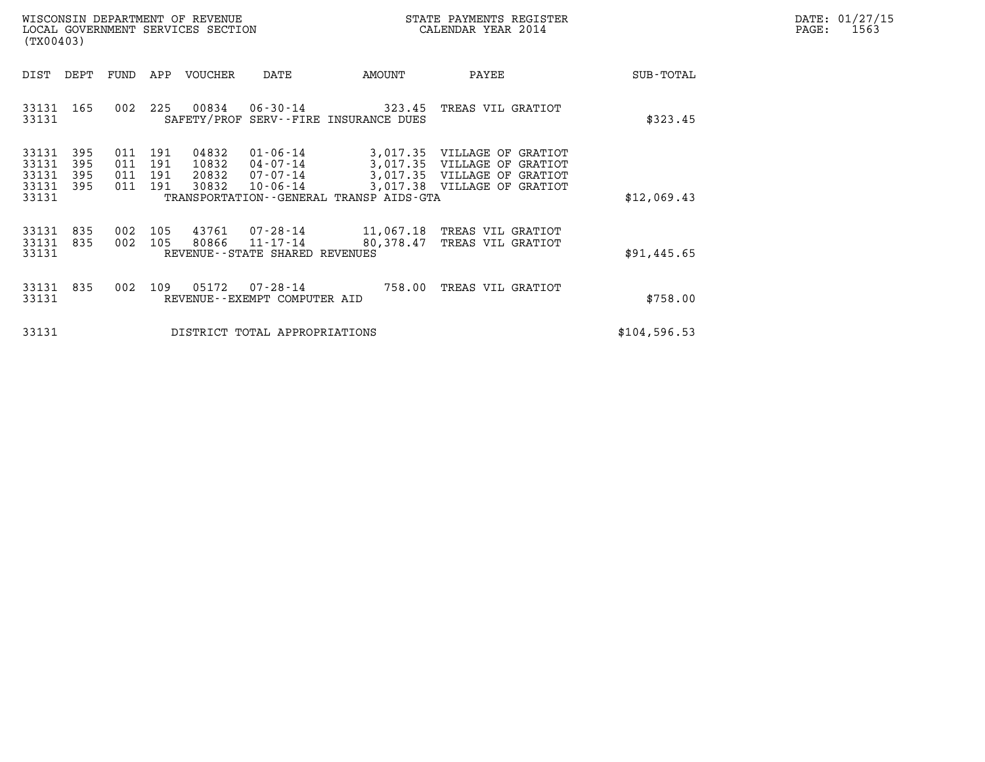| DATE: | 01/27/15 |
|-------|----------|
| PAGE: | 1563     |

| WISCONSIN DEPARTMENT OF REVENUE<br>LOCAL GOVERNMENT SERVICES SECTION<br>(TX00403) |                                           |                          |                          |                          |                                  |                                                          |                                                                | STATE PAYMENTS REGISTER<br>CALENDAR YEAR 2014                                                                            |              | DATE: 01/27/15<br>PAGE: 1563 |
|-----------------------------------------------------------------------------------|-------------------------------------------|--------------------------|--------------------------|--------------------------|----------------------------------|----------------------------------------------------------|----------------------------------------------------------------|--------------------------------------------------------------------------------------------------------------------------|--------------|------------------------------|
|                                                                                   | DIST                                      | DEPT                     | FUND                     |                          | APP VOUCHER                      | DATE                                                     | AMOUNT                                                         | PAYEE                                                                                                                    | SUB-TOTAL    |                              |
|                                                                                   | 33131 165<br>33131                        |                          | 002                      | 225                      | 00834                            |                                                          | $06 - 30 - 14$ 323.45<br>SAFETY/PROF SERV--FIRE INSURANCE DUES | TREAS VIL GRATIOT                                                                                                        | \$323.45     |                              |
|                                                                                   | 33131<br>33131<br>33131<br>33131<br>33131 | 395<br>395<br>395<br>395 | 011<br>011<br>011<br>011 | 191<br>191<br>191<br>191 | 04832<br>10832<br>20832<br>30832 | $01 - 06 - 14$<br>04-07-14<br>07-07-14<br>$10 - 06 - 14$ | TRANSPORTATION - - GENERAL TRANSP AIDS - GTA                   | 3,017.35 VILLAGE OF GRATIOT<br>3,017.35 VILLAGE OF GRATIOT<br>3,017.35 VILLAGE OF GRATIOT<br>3,017.38 VILLAGE OF GRATIOT | \$12,069.43  |                              |
|                                                                                   | 33131<br>33131<br>33131                   | 835<br>835               | 002<br>002               | 105<br>105               | 43761<br>80866                   | 11-17-14<br>REVENUE--STATE SHARED REVENUES               | 80,378.47                                                      | 07-28-14 11,067.18 TREAS VIL GRATIOT<br>TREAS VIL GRATIOT                                                                | \$91,445.65  |                              |
|                                                                                   | 33131<br>33131                            | 835                      | 002                      |                          | 109 05172                        | 07-28-14<br>REVENUE--EXEMPT COMPUTER AID                 | 758.00                                                         | TREAS VIL GRATIOT                                                                                                        | \$758.00     |                              |
|                                                                                   | 33131                                     |                          |                          |                          |                                  | DISTRICT TOTAL APPROPRIATIONS                            |                                                                |                                                                                                                          | \$104,596.53 |                              |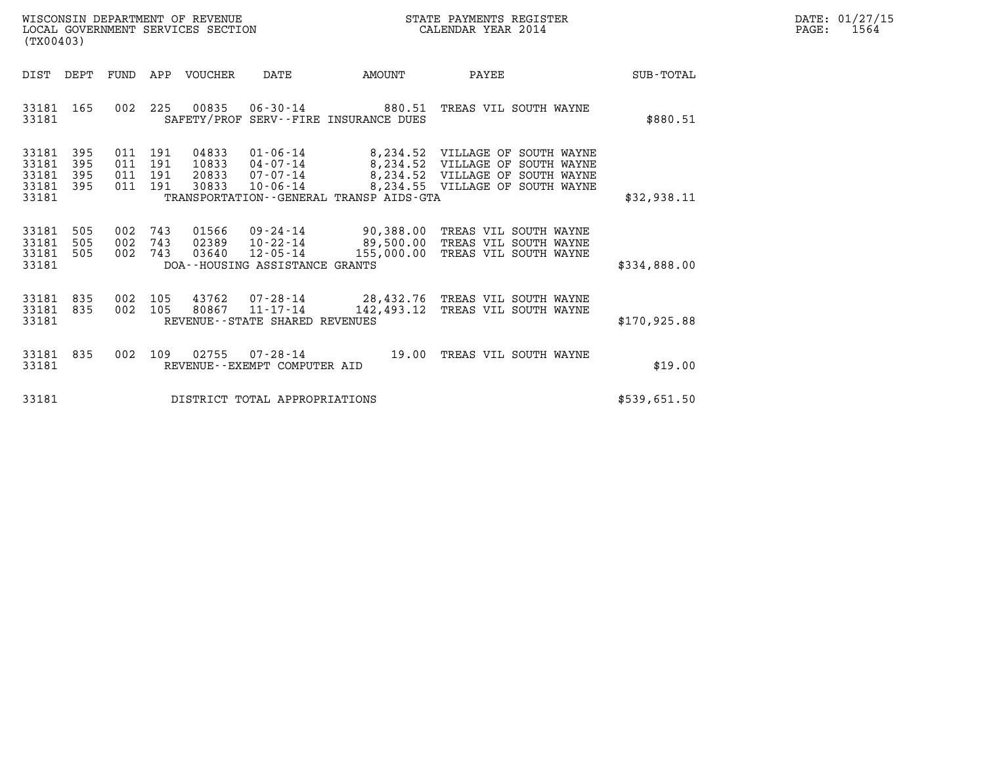| WISCONSIN DEPARTMENT OF REVENUE   | STATE PAYMENTS REGISTER | DATE: 01/27/15 |
|-----------------------------------|-------------------------|----------------|
| LOCAL GOVERNMENT SERVICES SECTION | CALENDAR YEAR 2014      | 1564<br>PAGE:  |

| (TX00403)                                 |                          |                          |                          |                                  |                                                |                                                                |                                                                                                                                                   |                  |  |
|-------------------------------------------|--------------------------|--------------------------|--------------------------|----------------------------------|------------------------------------------------|----------------------------------------------------------------|---------------------------------------------------------------------------------------------------------------------------------------------------|------------------|--|
| DIST                                      | DEPT                     | FUND                     | APP                      | VOUCHER                          | DATE                                           | AMOUNT                                                         | PAYEE                                                                                                                                             | <b>SUB-TOTAL</b> |  |
| 33181<br>33181                            | 165                      | 002                      | 225                      |                                  |                                                | 00835 06-30-14 880.51<br>SAFETY/PROF SERV--FIRE INSURANCE DUES | TREAS VIL SOUTH WAYNE                                                                                                                             | \$880.51         |  |
| 33181<br>33181<br>33181<br>33181<br>33181 | 395<br>395<br>395<br>395 | 011<br>011<br>011<br>011 | 191<br>191<br>191<br>191 | 04833<br>10833<br>20833<br>30833 | $04 - 07 - 14$<br>$07 - 07 - 14$<br>10-06-14   | TRANSPORTATION--GENERAL TRANSP AIDS-GTA                        | 01-06-14 8,234.52 VILLAGE OF SOUTH WAYNE<br>8,234.52 VILLAGE OF SOUTH WAYNE<br>8,234.52 VILLAGE OF SOUTH WAYNE<br>8,234.55 VILLAGE OF SOUTH WAYNE | \$32,938.11      |  |
| 33181<br>33181<br>33181<br>33181          | 505<br>505<br>505        | 002<br>002<br>002        | 743<br>743<br>743        | 01566<br>02389<br>03640          | 12-05-14<br>DOA--HOUSING ASSISTANCE GRANTS     | 155,000.00                                                     | 09-24-14 90,388.00 TREAS VIL SOUTH WAYNE<br>10-22-14 89,500.00 TREAS VIL SOUTH WAYNE<br>TREAS VIL SOUTH WAYNE                                     | \$334,888.00     |  |
| 33181<br>33181<br>33181                   | 835<br>835               | 002<br>002               | 105<br>105               | 43762<br>80867                   | REVENUE - - STATE SHARED REVENUES              | $11 - 17 - 14$ $142,493.12$                                    | 07-28-14 28,432.76 TREAS VIL SOUTH WAYNE<br>TREAS VIL SOUTH WAYNE                                                                                 | \$170.925.88     |  |
| 33181<br>33181                            | 835                      | 002                      | 109                      | 02755                            | $07 - 28 - 14$<br>REVENUE--EXEMPT COMPUTER AID | 19.00                                                          | TREAS VIL SOUTH WAYNE                                                                                                                             | \$19.00          |  |
| 33181                                     |                          |                          |                          |                                  | DISTRICT TOTAL APPROPRIATIONS                  |                                                                |                                                                                                                                                   | \$539,651.50     |  |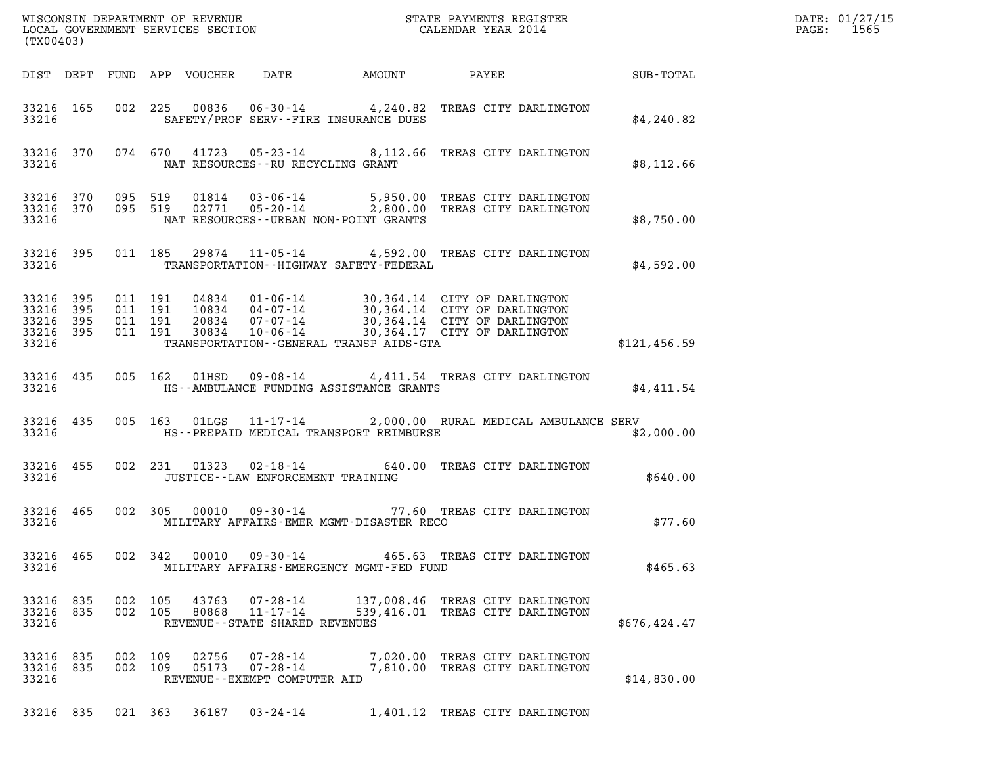| DATE: | 01/27/15 |
|-------|----------|
| PAGE: | 1565     |

| (TX00403)                                     |                   |                    |                               |                                 |                                                        |                                              |                                                                                                                                                                                                      |              | DATE: 01/27/15<br>PAGE: 1565 |
|-----------------------------------------------|-------------------|--------------------|-------------------------------|---------------------------------|--------------------------------------------------------|----------------------------------------------|------------------------------------------------------------------------------------------------------------------------------------------------------------------------------------------------------|--------------|------------------------------|
|                                               |                   |                    |                               | DIST DEPT FUND APP VOUCHER DATE |                                                        |                                              | AMOUNT PAYEE SUB-TOTAL                                                                                                                                                                               |              |                              |
| 33216 165<br>33216                            |                   |                    |                               |                                 |                                                        | SAFETY/PROF SERV--FIRE INSURANCE DUES        | 002 225 00836 06-30-14 4,240.82 TREAS CITY DARLINGTON                                                                                                                                                | \$4,240.82   |                              |
| 33216                                         |                   |                    |                               |                                 |                                                        | NAT RESOURCES--RU RECYCLING GRANT            | 33216 370 074 670 41723 05-23-14 8,112.66 TREAS CITY DARLINGTON                                                                                                                                      | \$8,112.66   |                              |
| 33216                                         |                   |                    |                               |                                 |                                                        | NAT RESOURCES - - URBAN NON-POINT GRANTS     | 33216 370 095 519 01814 03-06-14 5,950.00 TREAS CITY DARLINGTON<br>33216 370 095 519 02771 05-20-14 2,800.00 TREAS CITY DARLINGTON                                                                   | \$8,750.00   |                              |
| 33216 395<br>33216                            |                   |                    |                               |                                 |                                                        | TRANSPORTATION - - HIGHWAY SAFETY - FEDERAL  | 011 185 29874 11-05-14 4,592.00 TREAS CITY DARLINGTON                                                                                                                                                | \$4,592.00   |                              |
| 33216<br>33216<br>33216<br>33216 395<br>33216 | 395<br>395<br>395 | 011 191            | 011 191<br>011 191<br>011 191 |                                 |                                                        | TRANSPORTATION - - GENERAL TRANSP AIDS - GTA | 04834  01-06-14  30,364.14  CITY OF DARLINGTON<br>10834  04-07-14  30,364.14  CITY OF DARLINGTON<br>20834  07-07-14  30,364.14  CITY OF DARLINGTON<br>30834  10-06-14  30,364.17  CITY OF DARLINGTON | \$121,456.59 |                              |
| 33216 435<br>33216                            |                   |                    |                               |                                 |                                                        | HS--AMBULANCE FUNDING ASSISTANCE GRANTS      | 005 162 01HSD 09-08-14 4,411.54 TREAS CITY DARLINGTON                                                                                                                                                | \$4,411.54   |                              |
| 33216 435<br>33216                            |                   |                    |                               |                                 |                                                        | HS--PREPAID MEDICAL TRANSPORT REIMBURSE      | 005 163 01LGS 11-17-14 2,000.00 RURAL MEDICAL AMBULANCE SERV                                                                                                                                         | \$2,000.00   |                              |
| 33216 455<br>33216                            |                   |                    |                               |                                 |                                                        | JUSTICE - - LAW ENFORCEMENT TRAINING         | 002 231 01323 02-18-14 640.00 TREAS CITY DARLINGTON                                                                                                                                                  | \$640.00     |                              |
| 33216 465<br>33216                            |                   |                    |                               |                                 |                                                        | MILITARY AFFAIRS-EMER MGMT-DISASTER RECO     | 002 305 00010 09-30-14 77.60 TREAS CITY DARLINGTON                                                                                                                                                   | \$77.60      |                              |
| 33216 465<br>33216                            |                   |                    | 002 342                       | 00010                           | 09-30-14                                               | MILITARY AFFAIRS-EMERGENCY MGMT-FED FUND     | 465.63 TREAS CITY DARLINGTON                                                                                                                                                                         | \$465.63     |                              |
| 33216 835<br>33216<br>33216                   | 835               | 002 105<br>002 105 |                               | 43763<br>80868                  | 07-28-14<br>11-17-14<br>REVENUE--STATE SHARED REVENUES |                                              | 137,008.46 TREAS CITY DARLINGTON<br>539,416.01 TREAS CITY DARLINGTON                                                                                                                                 | \$676,424.47 |                              |
| 33216 835<br>33216<br>33216                   | 835               | 002 109<br>002 109 |                               | 02756<br>05173                  | 07-28-14<br>07-28-14<br>REVENUE--EXEMPT COMPUTER AID   |                                              | 7,020.00 TREAS CITY DARLINGTON<br>7,810.00 TREAS CITY DARLINGTON                                                                                                                                     | \$14,830.00  |                              |

33216 835 021 363 36187 03-24-14 1,401.12 TREAS CITY DARLINGTON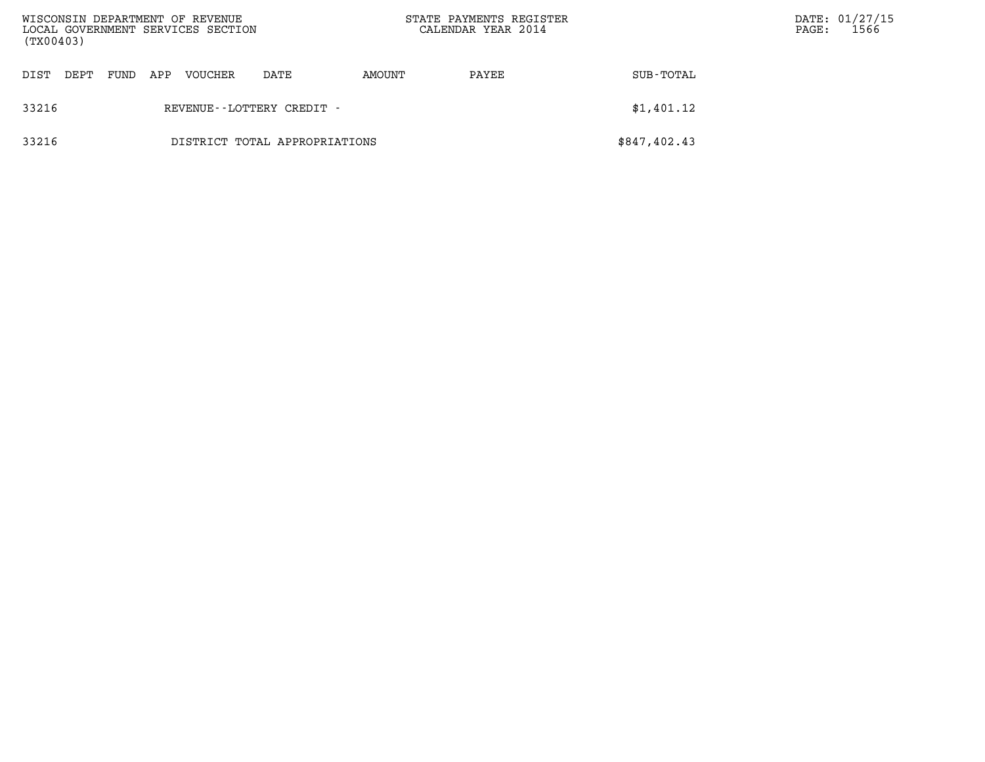| (TX00403) |      |      |     | WISCONSIN DEPARTMENT OF REVENUE<br>LOCAL GOVERNMENT SERVICES SECTION |                               | STATE PAYMENTS REGISTER<br>CALENDAR YEAR 2014 |       |              | $\mathtt{PAGE}$ : | DATE: 01/27/15<br>1566 |
|-----------|------|------|-----|----------------------------------------------------------------------|-------------------------------|-----------------------------------------------|-------|--------------|-------------------|------------------------|
| DIST      | DEPT | FUND | APP | VOUCHER                                                              | DATE                          | AMOUNT                                        | PAYEE | SUB-TOTAL    |                   |                        |
| 33216     |      |      |     |                                                                      | REVENUE--LOTTERY CREDIT -     |                                               |       | \$1,401.12   |                   |                        |
| 33216     |      |      |     |                                                                      | DISTRICT TOTAL APPROPRIATIONS |                                               |       | \$847,402.43 |                   |                        |